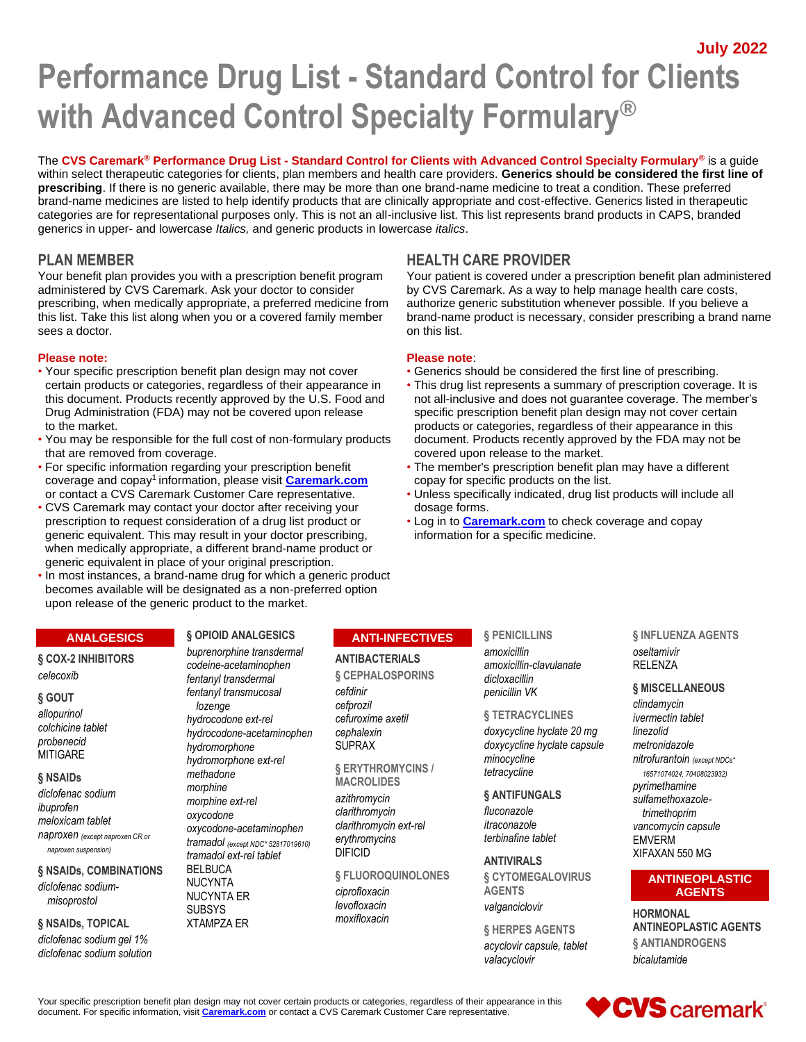**July 2022**

# **Performance Drug List - Standard Control for Clients with Advanced Control Specialty Formulary®**

The **CVS Caremark® Performance Drug List - Standard Control for Clients with Advanced Control Specialty Formulary®** is a guide within select therapeutic categories for clients, plan members and health care providers. **Generics should be considered the first line of prescribing**. If there is no generic available, there may be more than one brand-name medicine to treat a condition. These preferred brand-name medicines are listed to help identify products that are clinically appropriate and cost-effective. Generics listed in therapeutic categories are for representational purposes only. This is not an all-inclusive list. This list represents brand products in CAPS, branded generics in upper- and lowercase *Italics,* and generic products in lowercase *italics*.

Your benefit plan provides you with a prescription benefit program administered by CVS Caremark. Ask your doctor to consider prescribing, when medically appropriate, a preferred medicine from this list. Take this list along when you or a covered family member sees a doctor.

#### **Please note: Please note**:

- Your specific prescription benefit plan design may not cover Generics should be considered the first line of prescribing. Drug Administration (FDA) may not be covered upon release specific prescription benefit plan design may not cover certain to the market. products or categories, regardless of their appearance in this
- You may be responsible for the full cost of non-formulary products document. Products recently approved by the FDA may not be that are removed from coverage. The market covered upon release to the market.
- coverage and copay<sup>1</sup> information, please visit **[Caremark.com](https://www.caremark.com/)** copay for specific products on the list.
- CVS Caremark may contact your doctor after receiving your dosage forms. prescription to request consideration of a drug list product or • Log in to **[Caremark.com](https://www.caremark.com/)** to check coverage and copay generic equivalent. This may result in your doctor prescribing, information for a specific medicine. when medically appropriate, a different brand-name product or generic equivalent in place of your original prescription.
- In most instances, a brand-name drug for which a generic product becomes available will be designated as a non-preferred option upon release of the generic product to the market.

#### **ANALGESICS**

#### **§ COX-2 INHIBITORS** *celecoxib*

#### **§ GOUT**

*allopurinol colchicine tablet probenecid* **MITIGARE** 

#### **§ NSAIDs**

*diclofenac sodium ibuprofen meloxicam tablet naproxen (except naproxen CR or naproxen suspension)*

#### **§ NSAIDs, COMBINATIONS**

*diclofenac sodiummisoprostol*

#### **§ NSAIDs, TOPICAL**

*diclofenac sodium gel 1% diclofenac sodium solution*

#### **§ OPIOID ANALGESICS** *buprenorphine transdermal*

*codeine-acetaminophen fentanyl transdermal fentanyl transmucosal lozenge hydrocodone ext-rel hydrocodone-acetaminophen hydromorphone hydromorphone ext-rel methadone morphine morphine ext-rel oxycodone oxycodone-acetaminophen tramadol (except NDC\* 52817019610) tramadol ext-rel tablet* BELBUCA NUCYNTA NUCYNTA ER **SUBSYS** XTAMPZA ER

#### **ANTI-INFECTIVES**

#### **ANTIBACTERIALS**

**§ CEPHALOSPORINS** *cefdinir cefprozil cefuroxime axetil cephalexin* SUPRAX

**§ ERYTHROMYCINS / MACROLIDES**

*azithromycin clarithromycin clarithromycin ext-rel erythromycins* DIFICID

**§ FLUOROQUINOLONES**

*ciprofloxacin levofloxacin moxifloxacin*

**§ PENICILLINS**

*amoxicillin amoxicillin-clavulanate dicloxacillin penicillin VK*

#### **§ TETRACYCLINES**

*doxycycline hyclate 20 mg doxycycline hyclate capsule minocycline tetracycline*

**§ ANTIFUNGALS**

*fluconazole itraconazole terbinafine tablet*

**ANTIVIRALS § CYTOMEGALOVIRUS AGENTS** *valganciclovir*

**§ HERPES AGENTS** *acyclovir capsule, tablet valacyclovir*

**§ INFLUENZA AGENTS** *oseltamivir* RELENZA

#### **§ MISCELLANEOUS**

*clindamycin ivermectin tablet linezolid metronidazole nitrofurantoin (except NDCs\* 16571074024, 70408023932) pyrimethamine sulfamethoxazoletrimethoprim vancomycin capsule* EMVERM XIFAXAN 550 MG

#### **ANTINEOPLASTIC AGENTS**

**HORMONAL ANTINEOPLASTIC AGENTS § ANTIANDROGENS** *bicalutamide*

Your specific prescription benefit plan design may not cover certain products or categories, regardless of their appearance in this document. For specific information, visit **[Caremark.com](https://www.caremark.com/)** or contact a CVS Caremark Customer Care representative.



### **PLAN MEMBER HEALTH CARE PROVIDER**

Your patient is covered under a prescription benefit plan administered by CVS Caremark. As a way to help manage health care costs, authorize generic substitution whenever possible. If you believe a brand-name product is necessary, consider prescribing a brand name on this list.

- 
- certain products or categories, regardless of their appearance in This drug list represents a summary of prescription coverage. It is this document. Products recently approved by the U.S. Food and not all-inclusive and does not guarantee coverage. The member's
- For specific information regarding your prescription benefit The member's prescription benefit plan may have a different
- or contact a CVS Caremark Customer Care representative. Unless specifically indicated, drug list products will include all
	-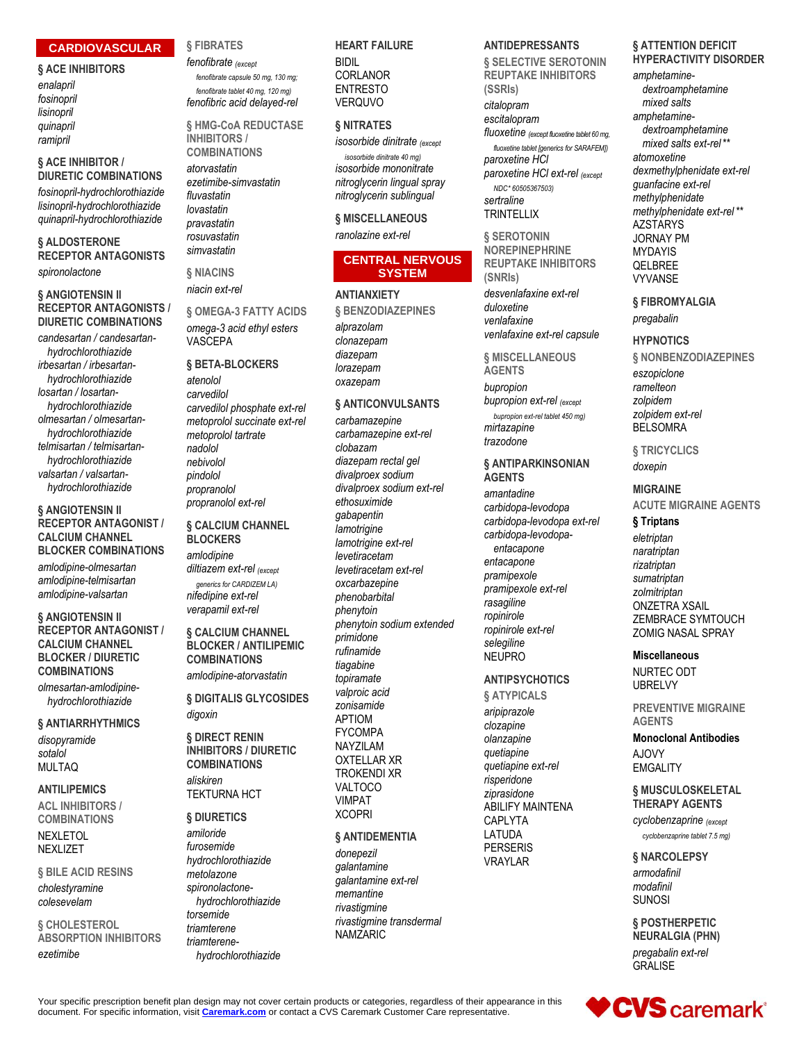#### **CARDIOVASCULAR**

#### **§ ACE INHIBITORS**

*enalapril fosinopril lisinopril quinapril ramipril*

#### **§ ACE INHIBITOR / DIURETIC COMBINATIONS**

*fosinopril-hydrochlorothiazide lisinopril-hydrochlorothiazide quinapril-hydrochlorothiazide*

#### **§ ALDOSTERONE RECEPTOR ANTAGONISTS**

*spironolactone*

#### **§ ANGIOTENSIN II RECEPTOR ANTAGONISTS / DIURETIC COMBINATIONS**

*candesartan / candesartanhydrochlorothiazide irbesartan / irbesartanhydrochlorothiazide losartan / losartanhydrochlorothiazide olmesartan / olmesartanhydrochlorothiazide telmisartan / telmisartanhydrochlorothiazide valsartan / valsartanhydrochlorothiazide*

#### **§ ANGIOTENSIN II RECEPTOR ANTAGONIST / CALCIUM CHANNEL BLOCKER COMBINATIONS**

*amlodipine-olmesartan amlodipine-telmisartan amlodipine-valsartan*

#### **§ ANGIOTENSIN II RECEPTOR ANTAGONIST / CALCIUM CHANNEL BLOCKER / DIURETIC COMBINATIONS**

*olmesartan-amlodipinehydrochlorothiazide*

**§ ANTIARRHYTHMICS** *disopyramide sotalol* MULTAQ

#### **ANTILIPEMICS**

**ACL INHIBITORS / COMBINATIONS** NEXI FTOL **NEXLIZET** 

#### **§ BILE ACID RESINS** *cholestyramine colesevelam*

**§ CHOLESTEROL ABSORPTION INHIBITORS** *ezetimibe*

#### **§ FIBRATES**

*fenofibrate (except fenofibrate capsule 50 mg, 130 mg; fenofibrate tablet 40 mg, 120 mg) fenofibric acid delayed-rel*

**§ HMG-CoA REDUCTASE INHIBITORS / COMBINATIONS**

*atorvastatin ezetimibe-simvastatin fluvastatin lovastatin pravastatin rosuvastatin simvastatin*

**§ NIACINS** *niacin ext-rel*

### **§ OMEGA-3 FATTY ACIDS**

*omega-3 acid ethyl esters* VASCEPA

#### **§ BETA-BLOCKERS**

*atenolol carvedilol carvedilol phosphate ext-rel metoprolol succinate ext-rel metoprolol tartrate nadolol nebivolol pindolol propranolol propranolol ext-rel*

#### **§ CALCIUM CHANNEL BLOCKERS**

*amlodipine diltiazem ext-rel (except generics for CARDIZEM LA) nifedipine ext-rel verapamil ext-rel*

#### **§ CALCIUM CHANNEL BLOCKER / ANTILIPEMIC COMBINATIONS** *amlodipine-atorvastatin*

**§ DIGITALIS GLYCOSIDES** *digoxin*

**§ DIRECT RENIN INHIBITORS / DIURETIC COMBINATIONS** *aliskiren* TEKTURNA HCT

**§ DIURETICS**

#### *amiloride furosemide hydrochlorothiazide metolazone spironolactonehydrochlorothiazide torsemide triamterene triamterenehydrochlorothiazide*

#### **HEART FAILURE**

BIDIL CORLANOR ENTRESTO **VERQUVO** 

#### **§ NITRATES**

*isosorbide dinitrate (except isosorbide dinitrate 40 mg) isosorbide mononitrate nitroglycerin lingual spray nitroglycerin sublingual*

**§ MISCELLANEOUS** *ranolazine ext-rel*

#### **CENTRAL NERVOUS SYSTEM**

**ANTIANXIETY § BENZODIAZEPINES** *alprazolam clonazepam diazepam*

*lorazepam oxazepam*

#### **§ ANTICONVULSANTS**

*carbamazepine carbamazepine ext-rel clobazam diazepam rectal gel divalproex sodium divalproex sodium ext-rel ethosuximide gabapentin lamotrigine lamotrigine ext-rel levetiracetam levetiracetam ext-rel oxcarbazepine phenobarbital phenytoin phenytoin sodium extended primidone rufinamide tiagabine topiramate valproic acid zonisamide* APTIOM FYCOMPA NAYZILAM OXTELLAR XR TROKENDI XR VALTOCO VIMPAT XCOPRI

#### **§ ANTIDEMENTIA**

*donepezil galantamine galantamine ext-rel memantine rivastigmine rivastigmine transdermal* NAMZARIC

#### **ANTIDEPRESSANTS**

**§ SELECTIVE SEROTONIN REUPTAKE INHIBITORS (SSRIs)** *citalopram escitalopram fluoxetine (except fluoxetine tablet 60 mg, fluoxetine tablet [generics for SARAFEM]) paroxetine HCl paroxetine HCl ext-rel (except NDC\* 60505367503) sertraline* **TRINTELLIX** 

**§ SEROTONIN NOREPINEPHRINE REUPTAKE INHIBITORS (SNRIs)**

*desvenlafaxine ext-rel duloxetine venlafaxine venlafaxine ext-rel capsule*

#### **§ MISCELLANEOUS**

**AGENTS** *bupropion bupropion ext-rel (except bupropion ext-rel tablet 450 mg) mirtazapine*

*trazodone* **§ ANTIPARKINSONIAN** 

**AGENTS**

*amantadine carbidopa-levodopa carbidopa-levodopa ext-rel carbidopa-levodopaentacapone entacapone pramipexole pramipexole ext-rel rasagiline ropinirole ropinirole ext-rel selegiline* NEUPRO

#### **ANTIPSYCHOTICS**

**§ ATYPICALS**

*aripiprazole clozapine olanzapine quetiapine quetiapine ext-rel risperidone ziprasidone* ABILIFY MAINTENA CAPLYTA LATUDA PERSERIS VRAYLAR

#### **§ ATTENTION DEFICIT HYPERACTIVITY DISORDER**

*amphetaminedextroamphetamine mixed salts amphetaminedextroamphetamine mixed salts ext-rel* \*\* *atomoxetine dexmethylphenidate ext-rel guanfacine ext-rel methylphenidate methylphenidate ext-rel* \*\* AZSTARYS JORNAY PM MYDAYIS QELBREE VYVANSE

**§ FIBROMYALGIA** *pregabalin*

#### **HYPNOTICS**

**§ NONBENZODIAZEPINES** *eszopiclone*

*ramelteon zolpidem zolpidem ext-rel* BELSOMRA

**§ TRICYCLICS** *doxepin*

#### **MIGRAINE**

**ACUTE MIGRAINE AGENTS**

**§ Triptans** *eletriptan naratriptan rizatriptan sumatriptan zolmitriptan* ONZETRA XSAIL ZEMBRACE SYMTOUCH ZOMIG NASAL SPRAY

#### **Miscellaneous**

NURTEC ODT UBRELVY

**PREVENTIVE MIGRAINE AGENTS**

**Monoclonal Antibodies** AJOVY **EMGALITY** 

#### **§ MUSCULOSKELETAL THERAPY AGENTS**

*cyclobenzaprine (except cyclobenzaprine tablet 7.5 mg)*

#### **§ NARCOLEPSY**

*armodafinil modafinil* SUNOSI

**§ POSTHERPETIC NEURALGIA (PHN)** *pregabalin ext-rel* GRALISE

**♥CVS** caremark®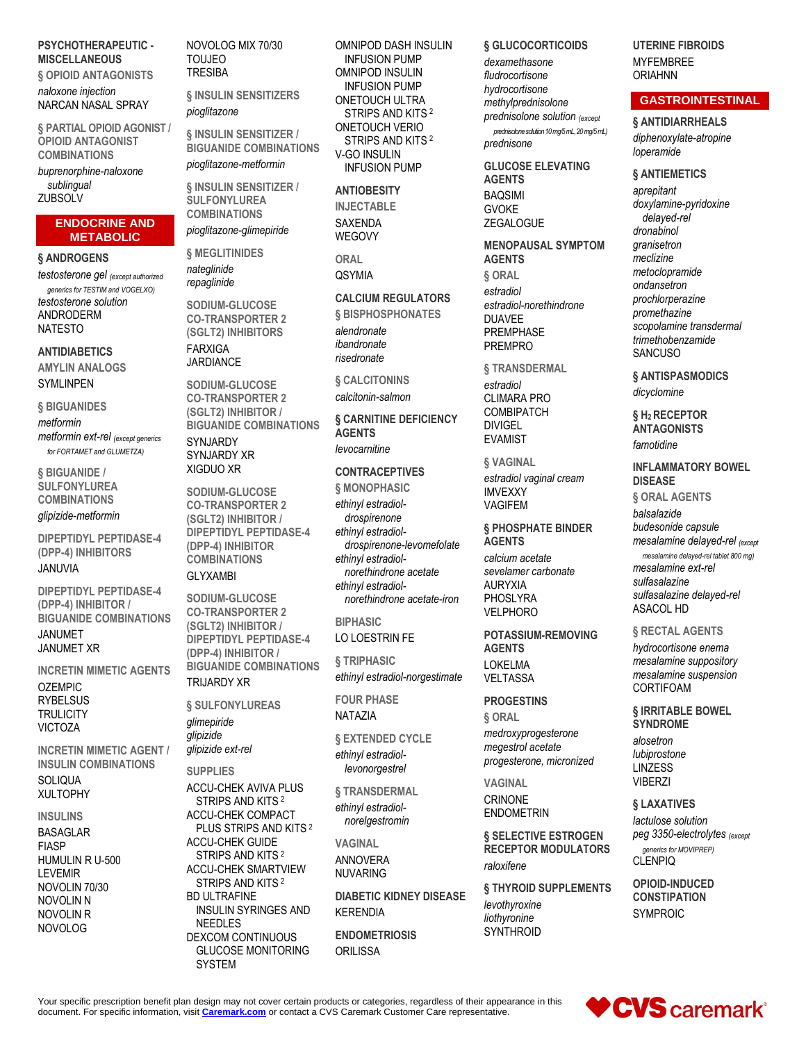#### **PSYCHOTHERAPEUTIC - MISCELLANEOUS**

**§ OPIOID ANTAGONISTS** *naloxone injection* NARCAN NASAL SPRAY

**§ PARTIAL OPIOID AGONIST / OPIOID ANTAGONIST COMBINATIONS**

*buprenorphine-naloxone sublingual* **ZUBSOLV** 

#### **ENDOCRINE AND METABOLIC**

**§ ANDROGENS**

*testosterone gel (except authorized generics for TESTIM and VOGELXO) testosterone solution* ANDRODERM NATESTO

**ANTIDIABETICS AMYLIN ANALOGS SYMLINPEN** 

**§ BIGUANIDES**

*metformin metformin ext-rel (except generics for FORTAMET and GLUMETZA)*

**§ BIGUANIDE / SULFONYLUREA COMBINATIONS** *glipizide-metformin*

**DIPEPTIDYL PEPTIDASE-4 (DPP-4) INHIBITORS** JANUVIA

**DIPEPTIDYL PEPTIDASE-4 (DPP-4) INHIBITOR / BIGUANIDE COMBINATIONS** JANUMET JANUMET XR

**INCRETIN MIMETIC AGENTS** OZEMPIC **RYBELSUS TRULICITY VICTOZA** 

**INCRETIN MIMETIC AGENT / INSULIN COMBINATIONS** SOLIQUA XULTOPHY

#### **INSULINS**

BASAGLAR FIASP HUMULIN R U-500 LEVEMIR NOVOLIN 70/30 NOVOLIN N NOVOLIN R NOVOLOG

NOVOLOG MIX 70/30 TOUJEO **TRESIBA** 

**§ INSULIN SENSITIZERS** *pioglitazone*

**§ INSULIN SENSITIZER / BIGUANIDE COMBINATIONS**

*pioglitazone-metformin*

**§ INSULIN SENSITIZER / SULFONYLUREA COMBINATIONS**

*pioglitazone-glimepiride*

**§ MEGLITINIDES** *nateglinide repaglinide*

**SODIUM-GLUCOSE CO-TRANSPORTER 2 (SGLT2) INHIBITORS** FARXIGA

JARDIANCE

**SODIUM-GLUCOSE CO-TRANSPORTER 2 (SGLT2) INHIBITOR / BIGUANIDE COMBINATIONS SYNJARDY** SYNJARDY XR XIGDUO XR

**SODIUM-GLUCOSE CO-TRANSPORTER 2 (SGLT2) INHIBITOR / DIPEPTIDYL PEPTIDASE-4 (DPP-4) INHIBITOR COMBINATIONS** GLYXAMBI

**SODIUM-GLUCOSE CO-TRANSPORTER 2 (SGLT2) INHIBITOR / DIPEPTIDYL PEPTIDASE-4 (DPP-4) INHIBITOR / BIGUANIDE COMBINATIONS** TRIJARDY XR

**§ SULFONYLUREAS** *glimepiride*

*glipizide glipizide ext-rel*

**SUPPLIES**

ACCU-CHEK AVIVA PLUS STRIPS AND KITS <sup>2</sup> ACCU-CHEK COMPACT PLUS STRIPS AND KITS <sup>2</sup> ACCU-CHEK GUIDE STRIPS AND KITS <sup>2</sup> ACCU-CHEK SMARTVIEW STRIPS AND KITS <sup>2</sup> BD ULTRAFINE INSULIN SYRINGES AND NEEDLES DEXCOM CONTINUOUS GLUCOSE MONITORING SYSTEM

OMNIPOD DASH INSULIN INFUSION PUMP OMNIPOD INSULIN INFUSION PUMP ONETOUCH ULTRA STRIPS AND KITS <sup>2</sup> ONETOUCH VERIO STRIPS AND KITS <sup>2</sup> V-GO INSULIN INFUSION PUMP

#### **ANTIOBESITY**

**INJECTABLE** SAXENDA WEGOVY

**ORAL OSYMIA** 

#### **CALCIUM REGULATORS**

**§ BISPHOSPHONATES** *alendronate ibandronate risedronate*

**§ CALCITONINS** *calcitonin-salmon*

**§ CARNITINE DEFICIENCY AGENTS** *levocarnitine*

#### **CONTRACEPTIVES**

**§ MONOPHASIC** *ethinyl estradioldrospirenone ethinyl estradioldrospirenone-levomefolate ethinyl estradiolnorethindrone acetate ethinyl estradiolnorethindrone acetate-iron*

**BIPHASIC** LO LOESTRIN FE

**§ TRIPHASIC** *ethinyl estradiol-norgestimate*

**FOUR PHASE** NATAZIA

**§ EXTENDED CYCLE** *ethinyl estradiollevonorgestrel*

**§ TRANSDERMAL**

*ethinyl estradiolnorelgestromin*

**VAGINAL** ANNOVERA NUVARING

**DIABETIC KIDNEY DISEASE** KERENDIA

**ENDOMETRIOSIS ORILISSA** 

#### **§ GLUCOCORTICOIDS**

*dexamethasone fludrocortisone hydrocortisone methylprednisolone prednisolone solution (except prednisolone solution 10 mg/5 mL, 20 mg/5 mL) prednisone*

#### **GLUCOSE ELEVATING AGENTS**

BAQSIMI GVOKE

**ZEGALOGUE** 

**MENOPAUSAL SYMPTOM AGENTS**

**§ ORAL** *estradiol estradiol-norethindrone* DUAVEE PREMPHASE PREMPRO

**§ TRANSDERMAL** *estradiol* CLIMARA PRO COMBIPATCH DIVIGEL EVAMIST

**§ VAGINAL** *estradiol vaginal cream* IMVEXXY VAGIFEM

#### **§ PHOSPHATE BINDER AGENTS**

*calcium acetate sevelamer carbonate* AURYXIA PHOSLYRA VELPHORO

**POTASSIUM-REMOVING AGENTS** LOKELMA **VFI TASSA** 

**PROGESTINS**

**§ ORAL** *medroxyprogesterone megestrol acetate progesterone, micronized*

**VAGINAL** CRINONE ENDOMETRIN

**§ SELECTIVE ESTROGEN RECEPTOR MODULATORS** *raloxifene*

**§ THYROID SUPPLEMENTS** *levothyroxine liothyronine* **SYNTHROID** 

**UTERINE FIBROIDS** MYFEMBREE ORIAHNN

#### **GASTROINTESTINAL**

**§ ANTIDIARRHEALS** *diphenoxylate-atropine loperamide*

**§ ANTIEMETICS**

*aprepitant doxylamine-pyridoxine delayed-rel dronabinol granisetron meclizine metoclopramide ondansetron prochlorperazine promethazine scopolamine transdermal trimethobenzamide* **SANCUSO** 

**§ ANTISPASMODICS** *dicyclomine*

**§ H2 RECEPTOR ANTAGONISTS** *famotidine*

**INFLAMMATORY BOWEL DISEASE**

**§ ORAL AGENTS**

*balsalazide budesonide capsule mesalamine delayed-rel (except*

*mesalamine delayed-rel tablet 800 mg) mesalamine ext-rel sulfasalazine sulfasalazine delayed-rel* ASACOL HD

#### **§ RECTAL AGENTS**

*hydrocortisone enema mesalamine suppository mesalamine suspension* CORTIFOAM

**§ IRRITABLE BOWEL SYNDROME**

*alosetron lubiprostone* LINZESS VIBERZI

**§ LAXATIVES**

*lactulose solution peg 3350-electrolytes (except generics for MOVIPREP)* **CLENPIQ** 

**OPIOID-INDUCED CONSTIPATION** SYMPROIC

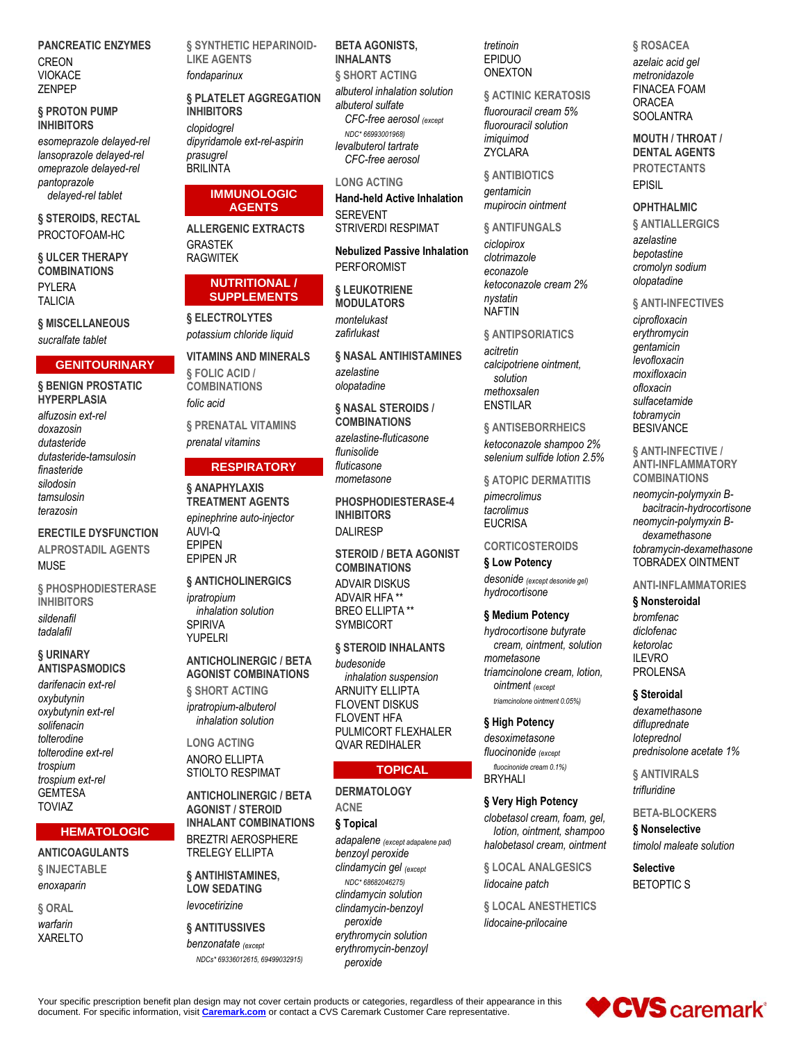**PANCREATIC ENZYMES** CREON VIOKACE ZENPEP

#### **§ PROTON PUMP INHIBITORS**

*esomeprazole delayed-rel lansoprazole delayed-rel omeprazole delayed-rel pantoprazole delayed-rel tablet*

**§ STEROIDS, RECTAL** PROCTOFOAM-HC

**§ ULCER THERAPY COMBINATIONS** PYLERA TALICIA

**§ MISCELLANEOUS** *sucralfate tablet*

#### **GENITOURINARY**

**§ BENIGN PROSTATIC HYPERPLASIA** *alfuzosin ext-rel doxazosin dutasteride dutasteride-tamsulosin finasteride silodosin tamsulosin terazosin*

**ERECTILE DYSFUNCTION ALPROSTADIL AGENTS** MUSE

**§ PHOSPHODIESTERASE INHIBITORS** *sildenafil tadalafil*

#### **§ URINARY ANTISPASMODICS**

*darifenacin ext-rel oxybutynin oxybutynin ext-rel solifenacin tolterodine tolterodine ext-rel trospium trospium ext-rel* GEMTESA TOVIAZ

#### **HEMATOLOGIC**

#### **ANTICOAGULANTS § INJECTABLE**

*enoxaparin* **§ ORAL** *warfarin* XARELTO

**§ SYNTHETIC HEPARINOID-LIKE AGENTS** *fondaparinux*

**§ PLATELET AGGREGATION INHIBITORS**

*clopidogrel dipyridamole ext-rel-aspirin prasugrel* **BRILINTA** 

#### **IMMUNOLOGIC AGENTS**

**ALLERGENIC EXTRACTS** GRASTEK RAGWITEK

#### **NUTRITIONAL / SUPPLEMENTS**

**§ ELECTROLYTES** *potassium chloride liquid*

**VITAMINS AND MINERALS § FOLIC ACID / COMBINATIONS** *folic acid*

**§ PRENATAL VITAMINS** *prenatal vitamins*

#### **RESPIRATORY**

**§ ANAPHYLAXIS TREATMENT AGENTS** *epinephrine auto-injector* AUVI-Q EPIPEN EPIPEN JR

**§ ANTICHOLINERGICS** *ipratropium inhalation solution* SPIRIVA YUPELRI

#### **ANTICHOLINERGIC / BETA AGONIST COMBINATIONS § SHORT ACTING**

*ipratropium-albuterol inhalation solution*

**LONG ACTING** ANORO ELLIPTA STIOLTO RESPIMAT

**ANTICHOLINERGIC / BETA AGONIST / STEROID INHALANT COMBINATIONS** BREZTRI AEROSPHERE TRELEGY ELLIPTA

**§ ANTIHISTAMINES, LOW SEDATING** *levocetirizine*

## **§ ANTITUSSIVES**

*benzonatate (except NDCs\* 69336012615, 69499032915)*

#### **BETA AGONISTS, INHALANTS**

**§ SHORT ACTING** *albuterol inhalation solution albuterol sulfate CFC-free aerosol (except NDC\* 66993001968) levalbuterol tartrate CFC-free aerosol*

#### **LONG ACTING**

**Hand-held Active Inhalation** SEREVENT STRIVERDI RESPIMAT

**Nebulized Passive Inhalation** PERFOROMIST

**§ LEUKOTRIENE MODULATORS** *montelukast zafirlukast*

**§ NASAL ANTIHISTAMINES** *azelastine olopatadine*

**§ NASAL STEROIDS / COMBINATIONS** *azelastine-fluticasone flunisolide fluticasone mometasone*

**PHOSPHODIESTERASE-4 INHIBITORS** DAI IRFSP

**STEROID / BETA AGONIST COMBINATIONS** ADVAIR DISKUS ADVAIR HFA \*\* BREO ELLIPTA \*\* SYMBICORT

#### **§ STEROID INHALANTS**

*budesonide inhalation suspension* ARNUITY ELLIPTA FLOVENT DISKUS FLOVENT HFA PULMICORT FLEXHALER QVAR REDIHALER

#### **TOPICAL**

**DERMATOLOGY ACNE § Topical** *adapalene (except adapalene pad) benzoyl peroxide clindamycin gel (except NDC\* 68682046275) clindamycin solution clindamycin-benzoyl peroxide erythromycin solution erythromycin-benzoyl* 

*peroxide*

*tretinoin* EPIDUO ONEXTON

**§ ACTINIC KERATOSIS** *fluorouracil cream 5% fluorouracil solution imiquimod* ZYCLARA

**§ ANTIBIOTICS** *gentamicin mupirocin ointment*

**§ ANTIFUNGALS**

*ciclopirox clotrimazole econazole ketoconazole cream 2% nystatin* NAFTIN

#### **§ ANTIPSORIATICS**

*acitretin calcipotriene ointment, solution methoxsalen* ENSTILAR

**§ ANTISEBORRHEICS** *ketoconazole shampoo 2% selenium sulfide lotion 2.5%*

**§ ATOPIC DERMATITIS**

*pimecrolimus tacrolimus*

## **EUCRISA**

### **CORTICOSTEROIDS**

**§ Low Potency**

*desonide (except desonide gel) hydrocortisone*

#### **§ Medium Potency**

*hydrocortisone butyrate cream, ointment, solution mometasone triamcinolone cream, lotion, ointment (except triamcinolone ointment 0.05%)*

#### **§ High Potency**

*desoximetasone fluocinonide (except fluocinonide cream 0.1%)*

BRYHALI

## **§ Very High Potency**

*clobetasol cream, foam, gel, lotion, ointment, shampoo halobetasol cream, ointment*

**§ LOCAL ANALGESICS** *lidocaine patch*

**§ LOCAL ANESTHETICS** *lidocaine-prilocaine*

**§ ROSACEA** *azelaic acid gel metronidazole* FINACEA FOAM ORACEA **SOOLANTRA** 

**MOUTH / THROAT / DENTAL AGENTS PROTECTANTS** EPISIL

#### **OPHTHALMIC**

**§ ANTIALLERGICS** *azelastine bepotastine cromolyn sodium olopatadine*

**§ ANTI-INFECTIVES** *ciprofloxacin erythromycin gentamicin levofloxacin moxifloxacin ofloxacin sulfacetamide tobramycin* **BESIVANCE** 

**§ ANTI-INFECTIVE / ANTI-INFLAMMATORY COMBINATIONS**

*neomycin-polymyxin Bbacitracin-hydrocortisone neomycin-polymyxin Bdexamethasone tobramycin-dexamethasone* TOBRADEX OINTMENT

#### **ANTI-INFLAMMATORIES**

#### **§ Nonsteroidal**

*bromfenac diclofenac ketorolac* ILEVRO PROLENSA

#### **§ Steroidal**

*dexamethasone difluprednate loteprednol prednisolone acetate 1%*

**§ ANTIVIRALS** *trifluridine*

**BETA-BLOCKERS**

**§ Nonselective** *timolol maleate solution*

**Selective** BETOPTIC S

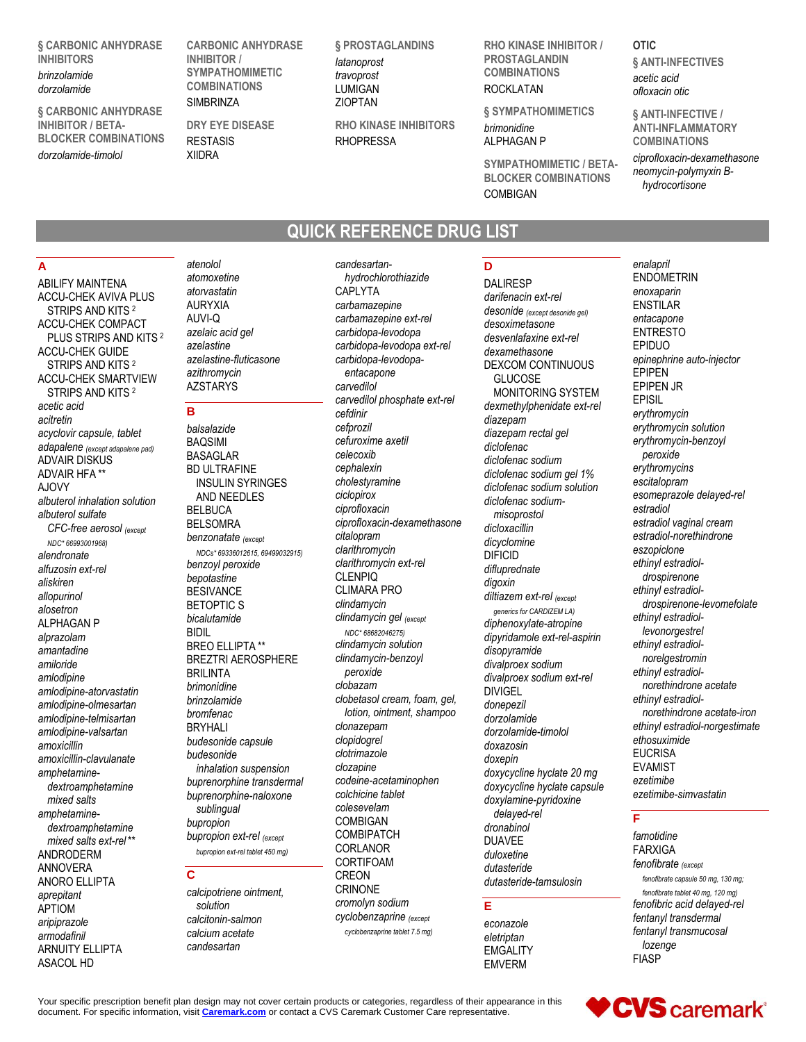**§ CARBONIC ANHYDRASE INHIBITORS** *brinzolamide*

#### *dorzolamide*

**§ CARBONIC ANHYDRASE INHIBITOR / BETA-BLOCKER COMBINATIONS** *dorzolamide-timolol*

**CARBONIC ANHYDRASE INHIBITOR / SYMPATHOMIMETIC COMBINATIONS** SIMBRINZA

**DRY EYE DISEASE** RESTASIS XIIDRA

**§ PROSTAGLANDINS** *latanoprost travoprost* LUMIGAN ZIOPTAN

**RHO KINASE INHIBITORS** RHOPRESSA

**QUICK REFERENCE DRUG LIST**

**RHO KINASE INHIBITOR / PROSTAGLANDIN COMBINATIONS** ROCKLATAN

**§ SYMPATHOMIMETICS**

*brimonidine* ALPHAGAN P

**SYMPATHOMIMETIC / BETA-BLOCKER COMBINATIONS** COMBIGAN

#### **OTIC § ANTI-INFECTIVES** *acetic acid ofloxacin otic*

*enalapril*

**§ ANTI-INFECTIVE / ANTI-INFLAMMATORY COMBINATIONS** *ciprofloxacin-dexamethasone neomycin-polymyxin Bhydrocortisone*

#### **A**

ABILIFY MAINTENA ACCU-CHEK AVIVA PLUS STRIPS AND KITS <sup>2</sup> ACCU-CHEK COMPACT PLUS STRIPS AND KITS <sup>2</sup> ACCU-CHEK GUIDE STRIPS AND KITS <sup>2</sup> ACCU-CHEK SMARTVIEW STRIPS AND KITS <sup>2</sup> *acetic acid acitretin acyclovir capsule, tablet adapalene (except adapalene pad)* ADVAIR DISKUS ADVAIR HFA \*\* AJOVY *albuterol inhalation solution albuterol sulfate CFC-free aerosol (except NDC\* 66993001968) alendronate alfuzosin ext-rel aliskiren allopurinol alosetron* ALPHAGAN P *alprazolam amantadine amiloride amlodipine amlodipine-atorvastatin amlodipine-olmesartan amlodipine-telmisartan amlodipine-valsartan amoxicillin amoxicillin-clavulanate amphetaminedextroamphetamine mixed salts amphetaminedextroamphetamine mixed salts ext-rel* \*\* ANDRODERM ANNOVERA ANORO ELLIPTA *aprepitant* APTIOM *aripiprazole armodafinil* ARNUITY ELLIPTA ASACOL HD

*atenolol atomoxetine atorvastatin* AURYXIA AUVI-Q *azelaic acid gel azelastine azelastine-fluticasone azithromycin* AZSTARYS

#### **B**

*balsalazide* BAQSIMI BASAGLAR BD ULTRAFINE INSULIN SYRINGES AND NEEDLES BELBUCA BELSOMRA *benzonatate (except NDCs\* 69336012615, 69499032915) benzoyl peroxide bepotastine* **BESIVANCE** BETOPTIC S *bicalutamide* BIDIL BREO ELLIPTA \*\* BREZTRI AEROSPHERE BRILINTA *brimonidine brinzolamide bromfenac* BRYHALI *budesonide capsule budesonide inhalation suspension buprenorphine transdermal buprenorphine-naloxone sublingual bupropion bupropion ext-rel (except bupropion ext-rel tablet 450 mg)*

#### **C**

*calcipotriene ointment, solution calcitonin-salmon calcium acetate candesartan*

*candesartanhydrochlorothiazide* CAPLYTA *carbamazepine carbamazepine ext-rel carbidopa-levodopa carbidopa-levodopa ext-rel carbidopa-levodopaentacapone carvedilol carvedilol phosphate ext-rel cefdinir cefprozil cefuroxime axetil celecoxib cephalexin cholestyramine ciclopirox ciprofloxacin ciprofloxacin-dexamethasone citalopram clarithromycin clarithromycin ext-rel* CLENPIQ CLIMARA PRO *clindamycin clindamycin gel (except NDC\* 68682046275) clindamycin solution clindamycin-benzoyl peroxide clobazam clobetasol cream, foam, gel, lotion, ointment, shampoo clonazepam clopidogrel clotrimazole clozapine codeine-acetaminophen colchicine tablet colesevelam* COMBIGAN **COMBIPATCH** CORLANOR CORTIFOAM CREON CRINONE *cromolyn sodium cyclobenzaprine (except cyclobenzaprine tablet 7.5 mg)*

### **D**

DALIRESP *darifenacin ext-rel desonide (except desonide gel) desoximetasone desvenlafaxine ext-rel dexamethasone* DEXCOM CONTINUOUS GLUCOSE MONITORING SYSTEM *dexmethylphenidate ext-rel diazepam diazepam rectal gel diclofenac diclofenac sodium diclofenac sodium gel 1% diclofenac sodium solution diclofenac sodiummisoprostol dicloxacillin dicyclomine* DIFICID *difluprednate digoxin diltiazem ext-rel (except generics for CARDIZEM LA) diphenoxylate-atropine dipyridamole ext-rel-aspirin disopyramide divalproex sodium divalproex sodium ext-rel* DIVIGEL *donepezil dorzolamide dorzolamide-timolol doxazosin doxepin doxycycline hyclate 20 mg doxycycline hyclate capsule doxylamine-pyridoxine delayed-rel dronabinol* DUAVEE *duloxetine dutasteride dutasteride-tamsulosin*

#### **E**

*econazole eletriptan* EMGALITY EMVERM

ENDOMETRIN *enoxaparin* ENSTILAR *entacapone* ENTRESTO EPIDUO *epinephrine auto-injector* EPIPEN EPIPEN JR EPISIL *erythromycin erythromycin solution erythromycin-benzoyl peroxide erythromycins escitalopram esomeprazole delayed-rel estradiol estradiol vaginal cream estradiol-norethindrone eszopiclone ethinyl estradioldrospirenone ethinyl estradioldrospirenone-levomefolate ethinyl estradiollevonorgestrel ethinyl estradiolnorelgestromin ethinyl estradiolnorethindrone acetate ethinyl estradiolnorethindrone acetate-iron ethinyl estradiol-norgestimate ethosuximide* **EUCRISA** EVAMIST *ezetimibe ezetimibe-simvastatin*

### **F**

*famotidine* FARXIGA *fenofibrate (except fenofibrate capsule 50 mg, 130 mg; fenofibrate tablet 40 mg, 120 mg) fenofibric acid delayed-rel fentanyl transdermal fentanyl transmucosal lozenge* FIASP

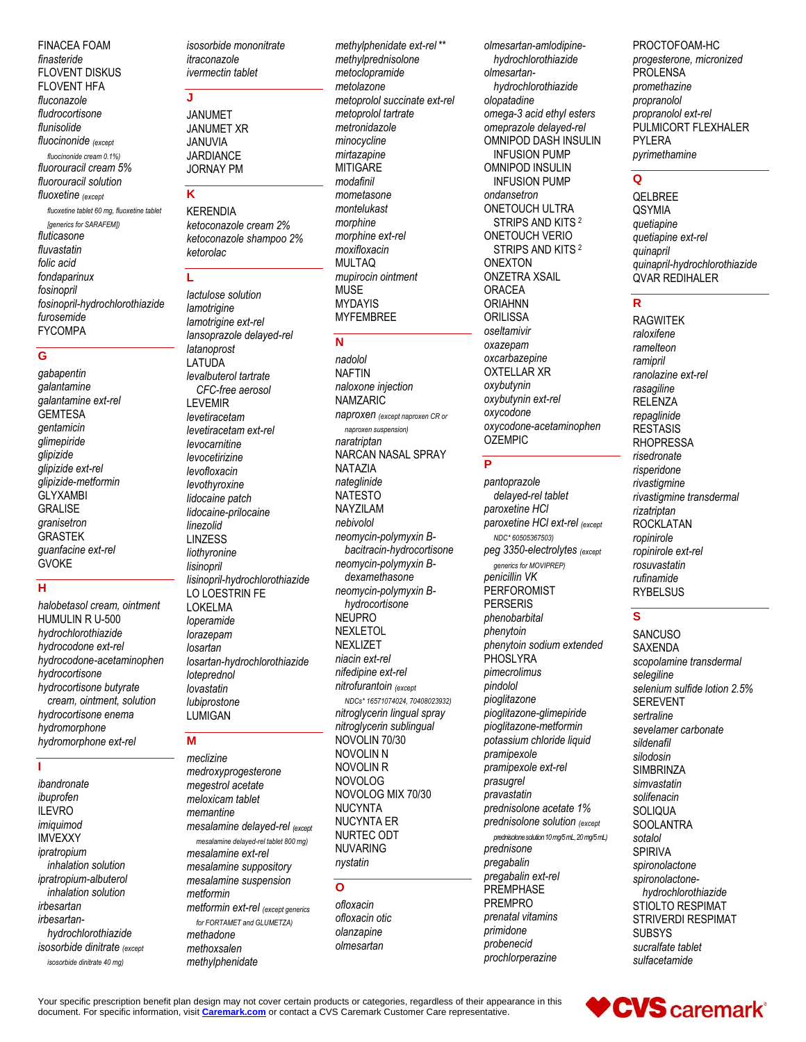FINACEA FOAM *finasteride* FLOVENT DISKUS FLOVENT HFA *fluconazole fludrocortisone flunisolide fluocinonide (except fluocinonide cream 0.1%) fluorouracil cream 5% fluorouracil solution fluoxetine (except fluoxetine tablet 60 mg, fluoxetine tablet [generics for SARAFEM]) fluticasone fluvastatin folic acid fondaparinux fosinopril fosinopril-hydrochlorothiazide furosemide* FYCOMPA

#### **G**

*gabapentin galantamine galantamine ext-rel* GEMTESA *gentamicin glimepiride glipizide glipizide ext-rel glipizide-metformin* **GLYXAMBI GRALISE** *granisetron* GRASTEK *guanfacine ext-rel* **GVOKE** 

#### **H**

*halobetasol cream, ointment* HUMULIN R U-500 *hydrochlorothiazide hydrocodone ext-rel hydrocodone-acetaminophen hydrocortisone hydrocortisone butyrate cream, ointment, solution hydrocortisone enema hydromorphone hydromorphone ext-rel*

#### **I**

*ibandronate ibuprofen* ILEVRO *imiquimod* IMVEXXY *ipratropium inhalation solution ipratropium-albuterol inhalation solution irbesartan irbesartanhydrochlorothiazide isosorbide dinitrate (except isosorbide dinitrate 40 mg)*

*isosorbide mononitrate itraconazole ivermectin tablet*

#### **J**

JANUMET JANUMET XR JANUVIA JARDIANCE JORNAY PM

## **K**

KERENDIA *ketoconazole cream 2% ketoconazole shampoo 2% ketorolac*

#### **L**

*lactulose solution lamotrigine lamotrigine ext-rel lansoprazole delayed-rel latanoprost* LATUDA *levalbuterol tartrate CFC-free aerosol* LEVEMIR *levetiracetam levetiracetam ext-rel levocarnitine levocetirizine levofloxacin levothyroxine lidocaine patch lidocaine-prilocaine linezolid* LINZESS *liothyronine lisinopril lisinopril-hydrochlorothiazide* LO LOESTRIN FE LOKELMA *loperamide lorazepam losartan losartan-hydrochlorothiazide loteprednol lovastatin lubiprostone* LUMIGAN

#### **M**

*meclizine medroxyprogesterone megestrol acetate meloxicam tablet memantine mesalamine delayed-rel (except mesalamine delayed-rel tablet 800 mg) mesalamine ext-rel mesalamine suppository mesalamine suspension metformin metformin ext-rel (except generics for FORTAMET and GLUMETZA) methadone methoxsalen methylphenidate*

*methylphenidate ext-rel* \*\* *methylprednisolone metoclopramide metolazone metoprolol succinate ext-rel metoprolol tartrate metronidazole minocycline mirtazapine* **MITIGARE** *modafinil mometasone montelukast morphine morphine ext-rel moxifloxacin* MULTAQ *mupirocin ointment* **MUSE** MYDAYIS MYFEMBREE

#### **N**

*nadolol* NAFTIN *naloxone injection* NAMZARIC *naproxen (except naproxen CR or naproxen suspension) naratriptan* NARCAN NASAL SPRAY NATAZIA *nateglinide* NATESTO NAYZILAM *nebivolol neomycin-polymyxin Bbacitracin-hydrocortisone neomycin-polymyxin Bdexamethasone neomycin-polymyxin Bhydrocortisone* NEUPRO NEXLETOL NEXLIZET *niacin ext-rel nifedipine ext-rel nitrofurantoin (except NDCs\* 16571074024, 70408023932) nitroglycerin lingual spray nitroglycerin sublingual* NOVOLIN 70/30 NOVOLIN N NOVOLIN R NOVOLOG NOVOLOG MIX 70/30 NUCYNTA NUCYNTA ER NURTEC ODT NUVARING *nystatin*

#### **O**

*ofloxacin ofloxacin otic olanzapine olmesartan*

*olmesartan-amlodipinehydrochlorothiazide olmesartanhydrochlorothiazide olopatadine omega-3 acid ethyl esters omeprazole delayed-rel* OMNIPOD DASH INSULIN INFUSION PUMP OMNIPOD INSULIN INFUSION PUMP *ondansetron* ONETOUCH ULTRA STRIPS AND KITS <sup>2</sup> ONETOUCH VERIO STRIPS AND KITS <sup>2</sup> ONEXTON ONZETRA XSAIL ORACEA ORIAHNN **ORILISSA** *oseltamivir oxazepam oxcarbazepine* OXTELLAR XR *oxybutynin oxybutynin ext-rel oxycodone oxycodone-acetaminophen* **OZEMPIC** 

#### **P**

*pantoprazole delayed-rel tablet paroxetine HCl paroxetine HCl ext-rel (except NDC\* 60505367503) peg 3350-electrolytes (except generics for MOVIPREP) penicillin VK* PERFOROMIST PERSERIS *phenobarbital phenytoin phenytoin sodium extended* **PHOSLYRA** *pimecrolimus pindolol pioglitazone pioglitazone-glimepiride pioglitazone-metformin potassium chloride liquid pramipexole pramipexole ext-rel prasugrel pravastatin prednisolone acetate 1% prednisolone solution (except prednisolone solution 10 mg/5 mL, 20 mg/5 mL) prednisone pregabalin pregabalin ext-rel* **PREMPHASE** PREMPRO *prenatal vitamins primidone probenecid prochlorperazine*

PROCTOFOAM-HC *progesterone, micronized* PROLENSA *promethazine propranolol propranolol ext-rel* PULMICORT FLEXHALER PYLERA *pyrimethamine*

#### **Q**

QELBREE **QSYMIA** *quetiapine quetiapine ext-rel quinapril quinapril-hydrochlorothiazide* QVAR REDIHALER

## **R**

RAGWITEK *raloxifene ramelteon ramipril ranolazine ext-rel rasagiline* **RELENZA** *repaglinide* RESTASIS RHOPRESSA *risedronate risperidone rivastigmine rivastigmine transdermal rizatriptan* ROCKLATAN *ropinirole ropinirole ext-rel rosuvastatin rufinamide* **RYBELSUS** 

#### **S**

**SANCUSO** SAXENDA *scopolamine transdermal selegiline selenium sulfide lotion 2.5%* SEREVENT *sertraline sevelamer carbonate sildenafil silodosin* **SIMBRINZA** *simvastatin solifenacin* SOLIQUA **SOOLANTRA** *sotalol* SPIRIVA *spironolactone spironolactonehydrochlorothiazide* STIOLTO RESPIMAT STRIVERDI RESPIMAT SUBSYS *sucralfate tablet sulfacetamide*

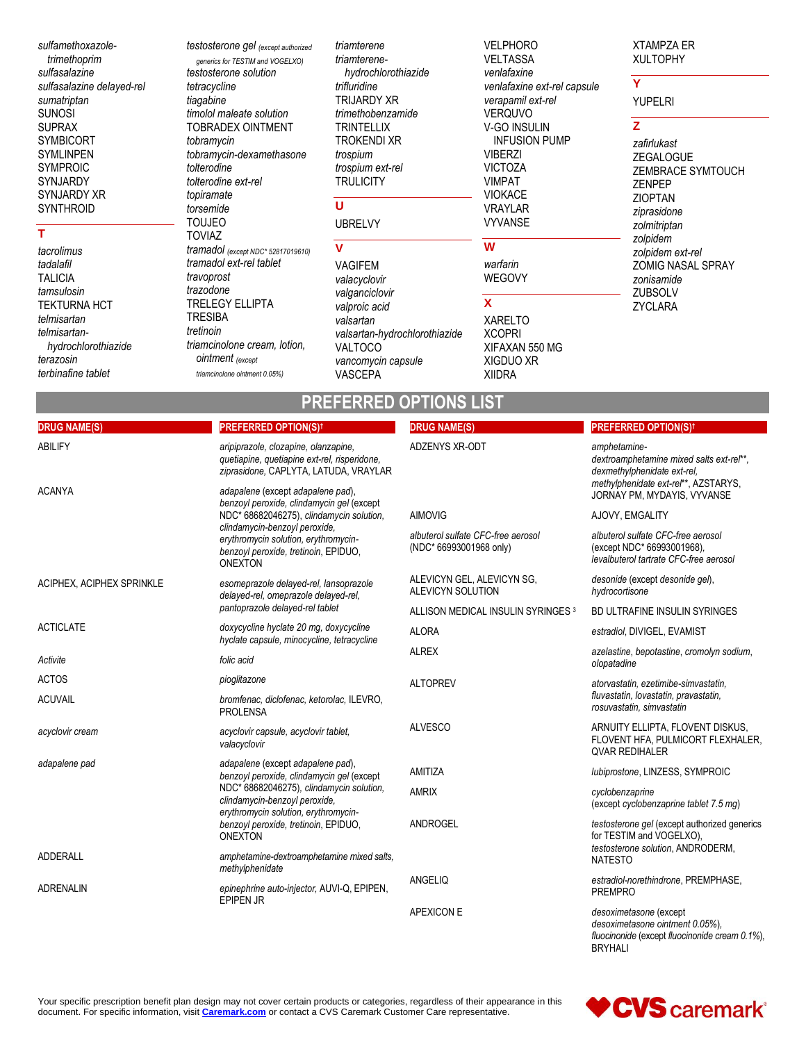*sulfamethoxazoletrimethoprim sulfasalazine sulfasalazine delayed-rel sumatriptan* SUNOSI SUPRAX SYMBICORT SYMLINPEN SYMPROIC SYNJARDY SYNJARDY XR **SYNTHROID** 

#### **T**

*tacrolimus tadalafil* TALICIA *tamsulosin* TEKTURNA HCT *telmisartan telmisartanhydrochlorothiazide terazosin terbinafine tablet*

*testosterone gel (except authorized generics for TESTIM and VOGELXO) testosterone solution tetracycline tiagabine timolol maleate solution* TOBRADEX OINTMENT *tobramycin tobramycin-dexamethasone tolterodine tolterodine ext-rel topiramate torsemide* TOUJEO TOVIAZ *tramadol (except NDC\* 52817019610) tramadol ext-rel tablet travoprost trazodone* TRELEGY ELLIPTA TRESIBA *tretinoin triamcinolone cream, lotion, ointment (except triamcinolone ointment 0.05%)*

*triamterene triamterenehydrochlorothiazide trifluridine* TRIJARDY XR *trimethobenzamide* **TRINTELLIX** TROKENDI XR *trospium trospium ext-rel* **TRULICITY** 

#### **U**

#### UBRELVY

**V** VAGIFEM *valacyclovir valganciclovir valproic acid valsartan valsartan-hydrochlorothiazide* VALTOCO *vancomycin capsule* VASCEPA

VELPHORO VELTASSA *venlafaxine venlafaxine ext-rel capsule verapamil ext-rel* VERQUVO V-GO INSULIN INFUSION PUMP VIBERZI VICTOZA VIMPAT VIOKACE VRAYLAR VYVANSE

## **W**

*warfarin* WEGOVY

**X**

XARELTO XCOPRI XIFAXAN 550 MG XIGDUO XR XIIDRA

#### XTAMPZA ER XULTOPHY

YUPELRI

#### **Z**

**Y**

*zafirlukast* ZEGALOGUE ZEMBRACE SYMTOUCH ZENPEP ZIOPTAN *ziprasidone zolmitriptan zolpidem zolpidem ext-rel* ZOMIG NASAL SPRAY *zonisamide* **ZUBSOLV** ZYCLARA

## **PREFERRED OPTIONS LIST**

| <b>DRUG NAME(S)</b>       | <b>PREFERRED OPTION(S)t</b>                                                                                                     | <b>DRUG NAME(S)</b>                                           | <b>PREFERRED OPTION(S)t</b>                                                                                |
|---------------------------|---------------------------------------------------------------------------------------------------------------------------------|---------------------------------------------------------------|------------------------------------------------------------------------------------------------------------|
| <b>ABILIFY</b>            | aripiprazole, clozapine, olanzapine,<br>quetiapine, quetiapine ext-rel, risperidone,<br>ziprasidone, CAPLYTA, LATUDA, VRAYLAR   | <b>ADZENYS XR-ODT</b>                                         | amphetamine-<br>dextroamphetamine mixed salts ext-rel**.<br>dexmethylphenidate ext-rel.                    |
| <b>ACANYA</b>             | adapalene (except adapalene pad),<br>benzoyl peroxide, clindamycin gel (except                                                  |                                                               | methylphenidate ext-rel**, AZSTARYS,<br>JORNAY PM, MYDAYIS, VYVANSE                                        |
|                           | NDC* 68682046275), clindamycin solution,                                                                                        | <b>AIMOVIG</b>                                                | AJOVY, EMGALITY                                                                                            |
|                           | clindamycin-benzoyl peroxide,<br>erythromycin solution, erythromycin-<br>benzoyl peroxide, tretinoin, EPIDUO,<br><b>ONEXTON</b> | albuterol sulfate CFC-free aerosol<br>(NDC* 66993001968 only) | albuterol sulfate CFC-free aerosol<br>(except NDC* 66993001968).<br>levalbuterol tartrate CFC-free aerosol |
| ACIPHEX, ACIPHEX SPRINKLE | esomeprazole delayed-rel, lansoprazole<br>delayed-rel, omeprazole delayed-rel,                                                  | ALEVICYN GEL, ALEVICYN SG,<br>ALEVICYN SOLUTION               | desonide (except desonide gel),<br>hydrocortisone                                                          |
|                           | pantoprazole delayed-rel tablet                                                                                                 | ALLISON MEDICAL INSULIN SYRINGES <sup>3</sup>                 | BD ULTRAFINE INSULIN SYRINGES                                                                              |
| <b>ACTICLATE</b>          | doxycycline hyclate 20 mg, doxycycline<br>hyclate capsule, minocycline, tetracycline                                            | <b>ALORA</b>                                                  | estradiol, DIVIGEL, EVAMIST                                                                                |
| Activite                  | folic acid                                                                                                                      | <b>ALREX</b>                                                  | azelastine, bepotastine, cromolyn sodium,<br>olopatadine                                                   |
| <b>ACTOS</b>              | pioglitazone                                                                                                                    | <b>ALTOPREV</b>                                               | atorvastatin, ezetimibe-simvastatin,<br>fluvastatin, lovastatin, pravastatin,<br>rosuvastatin, simvastatin |
| <b>ACUVAIL</b>            | bromfenac, diclofenac, ketorolac, ILEVRO,<br><b>PROLENSA</b>                                                                    |                                                               |                                                                                                            |
| acyclovir cream           | acyclovir capsule, acyclovir tablet,<br>valacyclovir                                                                            | <b>ALVESCO</b>                                                | ARNUITY ELLIPTA, FLOVENT DISKUS,<br>FLOVENT HFA, PULMICORT FLEXHALER,<br><b><i>OVAR REDIHALER</i></b>      |
| adapalene pad             | adapalene (except adapalene pad),<br>benzoyl peroxide, clindamycin gel (except                                                  | AMITIZA                                                       | lubiprostone, LINZESS, SYMPROIC                                                                            |
|                           | NDC* 68682046275), clindamycin solution,<br>clindamycin-benzoyl peroxide,<br>erythromycin solution, erythromycin-               | AMRIX                                                         | cyclobenzaprine<br>(except cyclobenzaprine tablet 7.5 mg)                                                  |
|                           | benzoyl peroxide, tretinoin, EPIDUO,<br><b>ONEXTON</b>                                                                          | <b>ANDROGEL</b>                                               | testosterone gel (except authorized generics<br>for TESTIM and VOGELXO),                                   |
| <b>ADDERALL</b>           | amphetamine-dextroamphetamine mixed salts,<br>methylphenidate                                                                   |                                                               | testosterone solution, ANDRODERM,<br><b>NATESTO</b>                                                        |
| <b>ADRENALIN</b>          | epinephrine auto-injector, AUVI-Q, EPIPEN,<br><b>EPIPEN JR</b>                                                                  | ANGELIQ                                                       | estradiol-norethindrone, PREMPHASE,<br><b>PREMPRO</b>                                                      |
|                           |                                                                                                                                 | APEXICON E                                                    | desoximetasone (except<br>desoximetasone ointment 0.05%).                                                  |

*desoximetasone ointment 0.05%*)*, fluocinonide* (except *fluocinonide cream 0.1%*), BRYHALI

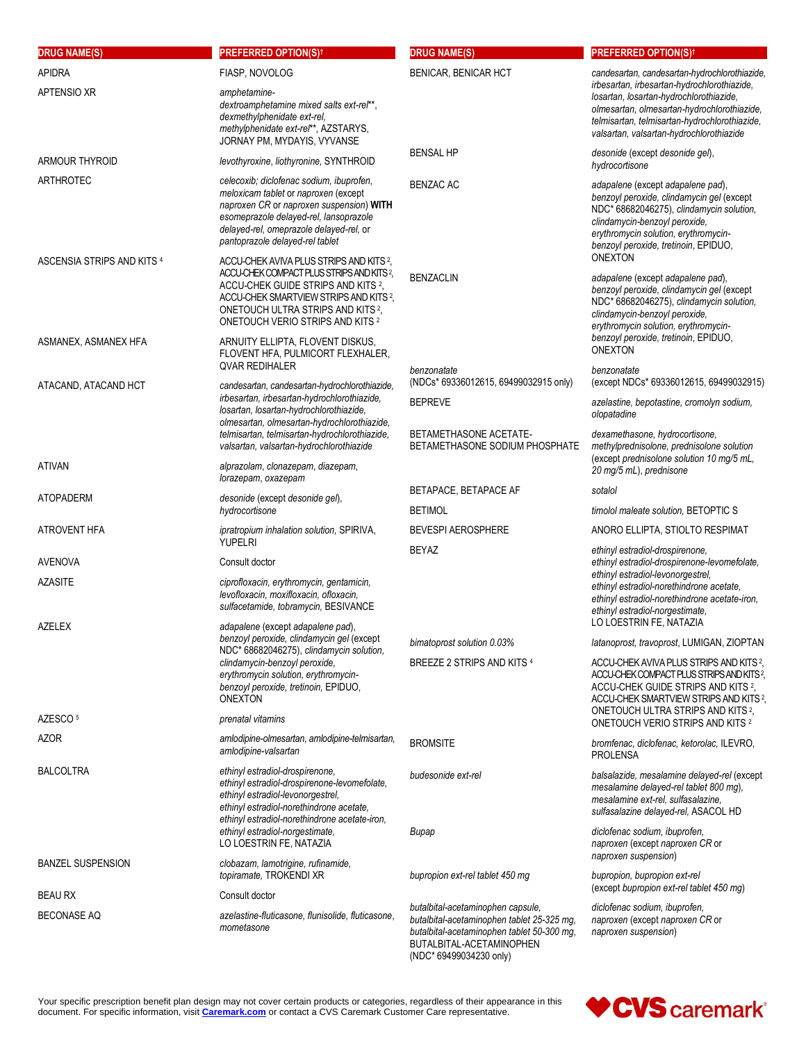| <b>DRUG NAME(S)</b>                     | <b>PREFERRED OPTION(S)<sup>†</sup></b>                                                                                                                                                                                                                                                          | <b>DRUG NAME(S)</b>                                                                                                                                                                  | <b>PREFERRED OPTION(S)<sup>†</sup></b>                                                                                                                                                                                                                        |
|-----------------------------------------|-------------------------------------------------------------------------------------------------------------------------------------------------------------------------------------------------------------------------------------------------------------------------------------------------|--------------------------------------------------------------------------------------------------------------------------------------------------------------------------------------|---------------------------------------------------------------------------------------------------------------------------------------------------------------------------------------------------------------------------------------------------------------|
| <b>APIDRA</b>                           | FIASP, NOVOLOG                                                                                                                                                                                                                                                                                  | <b>BENICAR, BENICAR HCT</b>                                                                                                                                                          | candesartan, candesartan-hydrochlorothiazide,<br>irbesartan, irbesartan-hydrochlorothiazide,                                                                                                                                                                  |
| APTENSIO XR                             | amphetamine-<br>dextroamphetamine mixed salts ext-rel**,<br>dexmethylphenidate ext-rel,<br>methylphenidate ext-rel**, AZSTARYS,<br>JORNAY PM, MYDAYIS, VYVANSE                                                                                                                                  |                                                                                                                                                                                      | losartan, losartan-hydrochlorothiazide,<br>olmesartan, olmesartan-hydrochlorothiazide,<br>telmisartan, telmisartan-hydrochlorothiazide,<br>valsartan, valsartan-hydrochlorothiazide                                                                           |
| ARMOUR THYROID                          | levothyroxine, liothyronine, SYNTHROID                                                                                                                                                                                                                                                          | <b>BENSAL HP</b>                                                                                                                                                                     | desonide (except desonide gel),<br>hydrocortisone                                                                                                                                                                                                             |
| ARTHROTEC<br>ASCENSIA STRIPS AND KITS 4 | celecoxib; diclofenac sodium, ibuprofen,<br>meloxicam tablet or naproxen (except<br>naproxen CR or naproxen suspension) WITH<br>esomeprazole delayed-rel, lansoprazole<br>delayed-rel, omeprazole delayed-rel, or<br>pantoprazole delayed-rel tablet<br>ACCU-CHEK AVIVA PLUS STRIPS AND KITS 2, | <b>BENZAC AC</b>                                                                                                                                                                     | adapalene (except adapalene pad),<br>benzoyl peroxide, clindamycin gel (except<br>NDC* 68682046275), clindamycin solution,<br>clindamycin-benzoyl peroxide,<br>erythromycin solution, erythromycin-<br>benzoyl peroxide, tretinoin, EPIDUO,<br><b>ONEXTON</b> |
|                                         | ACCU-CHEK COMPACT PLUS STRIPS AND KITS?<br>ACCU-CHEK GUIDE STRIPS AND KITS 2,<br>ACCU-CHEK SMARTVIEW STRIPS AND KITS <sup>2</sup> ,<br>ONETOUCH ULTRA STRIPS AND KITS <sup>2</sup> ,<br>ONETOUCH VERIO STRIPS AND KITS 2                                                                        | <b>BENZACLIN</b>                                                                                                                                                                     | adapalene (except adapalene pad),<br>benzoyl peroxide, clindamycin gel (except<br>NDC* 68682046275), clindamycin solution,<br>clindamycin-benzoyl peroxide,<br>erythromycin solution, erythromycin-                                                           |
| ASMANEX, ASMANEX HFA                    | ARNUITY ELLIPTA, FLOVENT DISKUS,<br>FLOVENT HFA, PULMICORT FLEXHALER,<br><b>QVAR REDIHALER</b>                                                                                                                                                                                                  | benzonatate                                                                                                                                                                          | benzoyl peroxide, tretinoin, EPIDUO,<br><b>ONEXTON</b>                                                                                                                                                                                                        |
| ATACAND, ATACAND HCT                    | candesartan, candesartan-hydrochlorothiazide,                                                                                                                                                                                                                                                   | (NDCs* 69336012615, 69499032915 only)                                                                                                                                                | benzonatate<br>(except NDCs* 69336012615, 69499032915)                                                                                                                                                                                                        |
|                                         | irbesartan, irbesartan-hydrochlorothiazide,<br>losartan, losartan-hydrochlorothiazide,<br>olmesartan, olmesartan-hydrochlorothiazide,                                                                                                                                                           | <b>BEPREVE</b>                                                                                                                                                                       | azelastine, bepotastine, cromolyn sodium,<br>olopatadine                                                                                                                                                                                                      |
| ativan                                  | telmisartan, telmisartan-hydrochlorothiazide,<br>valsartan, valsartan-hydrochlorothiazide<br>alprazolam, clonazepam, diazepam,                                                                                                                                                                  | BETAMETHASONE ACETATE-<br>BETAMETHASONE SODIUM PHOSPHATE                                                                                                                             | dexamethasone, hydrocortisone,<br>methylprednisolone, prednisolone solution<br>(except prednisolone solution 10 mg/5 mL,                                                                                                                                      |
|                                         | lorazepam, oxazepam                                                                                                                                                                                                                                                                             | BETAPACE, BETAPACE AF                                                                                                                                                                | 20 mg/5 mL), prednisone<br>sotalol                                                                                                                                                                                                                            |
| ATOPADERM                               | desonide (except desonide gel),<br>hydrocortisone                                                                                                                                                                                                                                               | <b>BETIMOL</b>                                                                                                                                                                       | timolol maleate solution, BETOPTIC S                                                                                                                                                                                                                          |
| ATROVENT HFA                            | ipratropium inhalation solution, SPIRIVA,                                                                                                                                                                                                                                                       | <b>BEVESPI AEROSPHERE</b>                                                                                                                                                            | ANORO ELLIPTA, STIOLTO RESPIMAT                                                                                                                                                                                                                               |
|                                         | <b>YUPELRI</b>                                                                                                                                                                                                                                                                                  | <b>BEYAZ</b>                                                                                                                                                                         | ethinyl estradiol-drospirenone,                                                                                                                                                                                                                               |
| <b>AVENOVA</b>                          | Consult doctor                                                                                                                                                                                                                                                                                  |                                                                                                                                                                                      | ethinyl estradiol-drospirenone-levomefolate,<br>ethinyl estradiol-levonorgestrel,                                                                                                                                                                             |
| AZASITE<br>AZELEX                       | ciprofloxacin, erythromycin, gentamicin,<br>levofloxacin, moxifloxacin, ofloxacin,<br>sulfacetamide, tobramycin, BESIVANCE<br>adapalene (except adapalene pad),                                                                                                                                 |                                                                                                                                                                                      | ethinyl estradiol-norethindrone acetate,<br>ethinyl estradiol-norethindrone acetate-iron,<br>ethinyl estradiol-norgestimate,<br>LO LOESTRIN FE, NATAZIA                                                                                                       |
|                                         | benzoyl peroxide, clindamycin gel (except                                                                                                                                                                                                                                                       | bimatoprost solution 0.03%                                                                                                                                                           | latanoprost, travoprost, LUMIGAN, ZIOPTAN                                                                                                                                                                                                                     |
| AZESCO <sup>5</sup>                     | NDC* 68682046275), clindamycin solution,<br>clindamycin-benzoyl peroxide,<br>erythromycin solution, erythromycin-<br>benzoyl peroxide, tretinoin, EPIDUO,<br><b>ONEXTON</b><br>prenatal vitamins                                                                                                | BREEZE 2 STRIPS AND KITS 4                                                                                                                                                           | ACCU-CHEK AVIVA PLUS STRIPS AND KITS <sup>2</sup> ,<br>ACCU-CHEK COMPACT PLUS STRIPS AND KITS?<br>ACCU-CHEK GUIDE STRIPS AND KITS 2,<br>ACCU-CHEK SMARTVIEW STRIPS AND KITS 2,<br>ONETOUCH ULTRA STRIPS AND KITS <sup>2</sup> .                               |
| AZOR                                    | amlodipine-olmesartan, amlodipine-telmisartan,                                                                                                                                                                                                                                                  |                                                                                                                                                                                      | ONETOUCH VERIO STRIPS AND KITS 2                                                                                                                                                                                                                              |
|                                         | amlodipine-valsartan                                                                                                                                                                                                                                                                            | <b>BROMSITE</b>                                                                                                                                                                      | bromfenac, diclofenac, ketorolac, ILEVRO,<br><b>PROLENSA</b>                                                                                                                                                                                                  |
| <b>BALCOLTRA</b>                        | ethinyl estradiol-drospirenone,<br>ethinyl estradiol-drospirenone-levomefolate,<br>ethinyl estradiol-levonorgestrel.<br>ethinyl estradiol-norethindrone acetate,<br>ethinyl estradiol-norethindrone acetate-iron,                                                                               | budesonide ext-rel                                                                                                                                                                   | balsalazide, mesalamine delayed-rel (except<br>mesalamine delayed-rel tablet 800 mg),<br>mesalamine ext-rel, sulfasalazine,<br>sulfasalazine delayed-rel, ASACOL HD                                                                                           |
|                                         | ethinyl estradiol-norgestimate,<br>LO LOESTRIN FE, NATAZIA                                                                                                                                                                                                                                      | Bupap                                                                                                                                                                                | diclofenac sodium, ibuprofen,<br>naproxen (except naproxen CR or<br>naproxen suspension)                                                                                                                                                                      |
| <b>BANZEL SUSPENSION</b>                | clobazam, lamotrigine, rufinamide,<br>topiramate, TROKENDI XR                                                                                                                                                                                                                                   | bupropion ext-rel tablet 450 mg                                                                                                                                                      | bupropion, bupropion ext-rel                                                                                                                                                                                                                                  |
| <b>BEAU RX</b>                          | Consult doctor                                                                                                                                                                                                                                                                                  |                                                                                                                                                                                      | (except bupropion ext-rel tablet 450 mg)                                                                                                                                                                                                                      |
| <b>BECONASE AQ</b>                      | azelastine-fluticasone, flunisolide, fluticasone,<br>mometasone                                                                                                                                                                                                                                 | butalbital-acetaminophen capsule,<br>butalbital-acetaminophen tablet 25-325 mg,<br>butalbital-acetaminophen tablet 50-300 mg,<br>BUTALBITAL-ACETAMINOPHEN<br>(NDC* 69499034230 only) | diclofenac sodium, ibuprofen,<br>naproxen (except naproxen CR or<br>naproxen suspension)                                                                                                                                                                      |

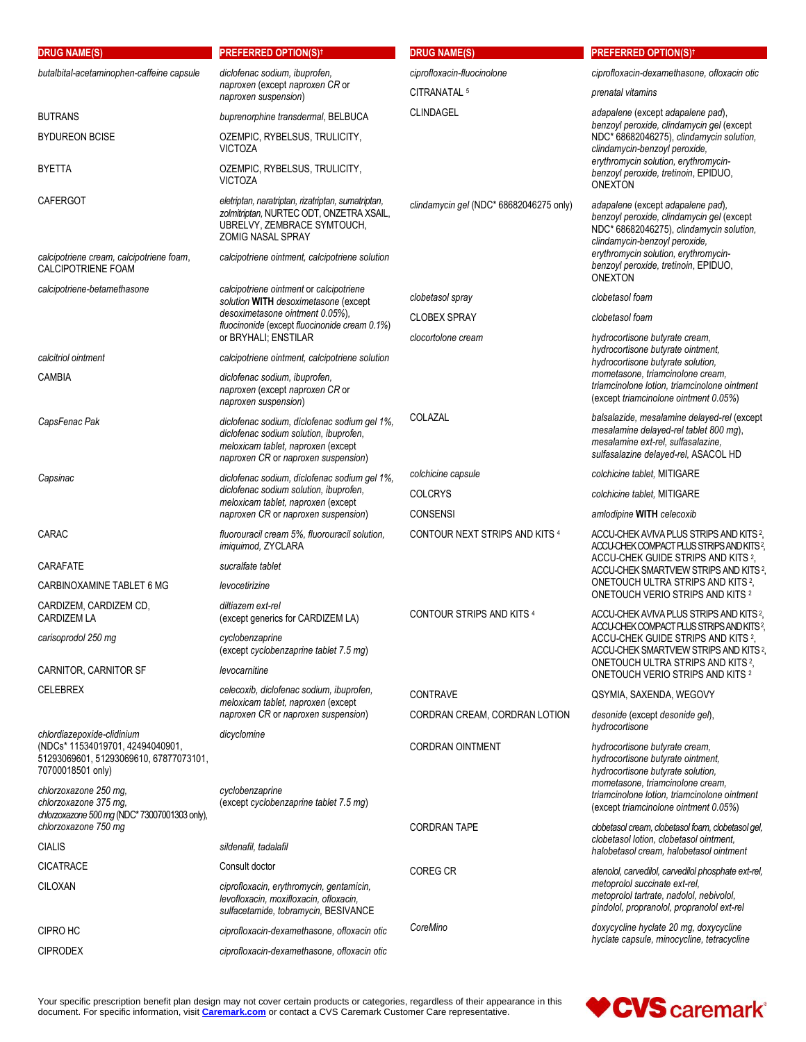| <b>DRUG NAME(S)</b>                                                                                                           | <b>PREFERRED OPTION(S)<sup>†</sup></b>                                                                                                                              | <b>DRUG NAME(S)</b>                     | <b>PREFERRED OPTION(S)<sup>†</sup></b>                                                                                                                                                                                                                        |
|-------------------------------------------------------------------------------------------------------------------------------|---------------------------------------------------------------------------------------------------------------------------------------------------------------------|-----------------------------------------|---------------------------------------------------------------------------------------------------------------------------------------------------------------------------------------------------------------------------------------------------------------|
| butalbital-acetaminophen-caffeine capsule                                                                                     | diclofenac sodium, ibuprofen,<br>naproxen (except naproxen CR or<br>naproxen suspension)                                                                            | ciprofloxacin-fluocinolone              | ciprofloxacin-dexamethasone, ofloxacin otic                                                                                                                                                                                                                   |
|                                                                                                                               |                                                                                                                                                                     | CITRANATAL <sup>5</sup>                 | prenatal vitamins                                                                                                                                                                                                                                             |
| <b>BUTRANS</b>                                                                                                                | buprenorphine transdermal, BELBUCA                                                                                                                                  | CLINDAGEL                               | adapalene (except adapalene pad),<br>benzoyl peroxide, clindamycin gel (except<br>NDC* 68682046275), clindamycin solution,<br>clindamycin-benzoyl peroxide,<br>erythromycin solution, erythromycin-<br>benzoyl peroxide, tretinoin, EPIDUO,<br><b>ONEXTON</b> |
| <b>BYDUREON BCISE</b>                                                                                                         | OZEMPIC, RYBELSUS, TRULICITY,<br><b>VICTOZA</b>                                                                                                                     |                                         |                                                                                                                                                                                                                                                               |
| <b>BYETTA</b>                                                                                                                 | OZEMPIC, RYBELSUS, TRULICITY,<br><b>VICTOZA</b>                                                                                                                     |                                         |                                                                                                                                                                                                                                                               |
| <b>CAFERGOT</b>                                                                                                               | eletriptan, naratriptan, rizatriptan, sumatriptan,<br>zolmitriptan, NURTEC ODT, ONZETRA XSAIL,<br>UBRELVY, ZEMBRACE SYMTOUCH,<br>ZOMIG NASAL SPRAY                  | clindamycin gel (NDC* 68682046275 only) | adapalene (except adapalene pad),<br>benzoyl peroxide, clindamycin gel (except<br>NDC* 68682046275), clindamycin solution,<br>clindamycin-benzoyl peroxide,                                                                                                   |
| calcipotriene cream, calcipotriene foam,<br><b>CALCIPOTRIENE FOAM</b>                                                         | calcipotriene ointment, calcipotriene solution                                                                                                                      |                                         | erythromycin solution, erythromycin-<br>benzoyl peroxide, tretinoin, EPIDUO,<br><b>ONEXTON</b>                                                                                                                                                                |
| calcipotriene-betamethasone                                                                                                   | calcipotriene ointment or calcipotriene<br>solution WITH desoximetasone (except                                                                                     | clobetasol spray                        | clobetasol foam                                                                                                                                                                                                                                               |
|                                                                                                                               | desoximetasone ointment 0.05%).                                                                                                                                     | <b>CLOBEX SPRAY</b>                     | clobetasol foam                                                                                                                                                                                                                                               |
|                                                                                                                               | fluocinonide (except fluocinonide cream 0.1%)<br>or BRYHALI: ENSTILAR                                                                                               | clocortolone cream                      | hydrocortisone butyrate cream,                                                                                                                                                                                                                                |
| calcitriol ointment                                                                                                           | calcipotriene ointment, calcipotriene solution                                                                                                                      |                                         | hydrocortisone butyrate ointment,<br>hydrocortisone butyrate solution,                                                                                                                                                                                        |
| CAMBIA                                                                                                                        | diclofenac sodium, ibuprofen,<br>naproxen (except naproxen CR or<br>naproxen suspension)                                                                            |                                         | mometasone, triamcinolone cream,<br>triamcinolone lotion, triamcinolone ointment<br>(except triamcinolone ointment 0.05%)                                                                                                                                     |
| CapsFenac Pak                                                                                                                 | diclofenac sodium, diclofenac sodium gel 1%,<br>diclofenac sodium solution, ibuprofen,<br>meloxicam tablet, naproxen (except<br>naproxen CR or naproxen suspension) | COLAZAL                                 | balsalazide, mesalamine delayed-rel (except<br>mesalamine delayed-rel tablet 800 mg),<br>mesalamine ext-rel, sulfasalazine,<br>sulfasalazine delayed-rel, ASACOL HD                                                                                           |
| Capsinac                                                                                                                      | diclofenac sodium, diclofenac sodium gel 1%,<br>diclofenac sodium solution, ibuprofen,<br>meloxicam tablet, naproxen (except<br>naproxen CR or naproxen suspension) | colchicine capsule                      | colchicine tablet, MITIGARE                                                                                                                                                                                                                                   |
|                                                                                                                               |                                                                                                                                                                     | <b>COLCRYS</b>                          | colchicine tablet, MITIGARE                                                                                                                                                                                                                                   |
|                                                                                                                               |                                                                                                                                                                     | <b>CONSENSI</b>                         | amlodipine WITH celecoxib                                                                                                                                                                                                                                     |
| CARAC                                                                                                                         | fluorouracil cream 5%, fluorouracil solution,<br>imiquimod, ZYCLARA                                                                                                 | CONTOUR NEXT STRIPS AND KITS 4          | ACCU-CHEK AVIVA PLUS STRIPS AND KITS 2,<br>ACCU-CHEK COMPACT PLUS STRIPS AND KITS?,<br>ACCU-CHEK GUIDE STRIPS AND KITS 2,                                                                                                                                     |
| CARAFATE                                                                                                                      | sucralfate tablet                                                                                                                                                   |                                         | ACCU-CHEK SMARTVIEW STRIPS AND KITS <sup>2</sup> ,                                                                                                                                                                                                            |
| CARBINOXAMINE TABLET 6 MG                                                                                                     | levocetirizine                                                                                                                                                      |                                         | ONETOUCH ULTRA STRIPS AND KITS <sup>2</sup> ,<br><b>ONETOUCH VERIO STRIPS AND KITS 2</b>                                                                                                                                                                      |
| CARDIZEM, CARDIZEM CD,<br><b>CARDIZEM LA</b>                                                                                  | diltiazem ext-rel<br>(except generics for CARDIZEM LA)                                                                                                              | <b>CONTOUR STRIPS AND KITS 4</b>        | ACCU-CHEK AVIVA PLUS STRIPS AND KITS 2,<br>ACCU-CHEK COMPACT PLUS STRIPS AND KITS?,                                                                                                                                                                           |
| carisoprodol 250 mg                                                                                                           | cyclobenzaprine<br>(except cyclobenzaprine tablet 7.5 mg)                                                                                                           |                                         | ACCU-CHEK GUIDE STRIPS AND KITS 2<br>ACCU-CHEK SMARTVIEW STRIPS AND KITS 2,<br>ONETOUCH ULTRA STRIPS AND KITS <sup>2</sup> ,                                                                                                                                  |
| CARNITOR, CARNITOR SF                                                                                                         | levocarnitine                                                                                                                                                       |                                         | <b>ONETOUCH VERIO STRIPS AND KITS 2</b>                                                                                                                                                                                                                       |
| <b>CELEBREX</b>                                                                                                               | celecoxib, diclofenac sodium, ibuprofen,<br>meloxicam tablet, naproxen (except                                                                                      | <b>CONTRAVE</b>                         | QSYMIA, SAXENDA, WEGOVY                                                                                                                                                                                                                                       |
|                                                                                                                               | naproxen CR or naproxen suspension)                                                                                                                                 | CORDRAN CREAM, CORDRAN LOTION           | desonide (except desonide gel),<br>hydrocortisone                                                                                                                                                                                                             |
| chlordiazepoxide-clidinium<br>(NDCs* 11534019701, 42494040901,<br>51293069601, 51293069610, 67877073101,<br>70700018501 only) | dicyclomine                                                                                                                                                         | <b>CORDRAN OINTMENT</b>                 | hydrocortisone butyrate cream.<br>hydrocortisone butyrate ointment,<br>hydrocortisone butyrate solution,                                                                                                                                                      |
| chlorzoxazone 250 mg,<br>chlorzoxazone 375 mg,<br>chlorzoxazone 500 mg (NDC* 73007001303 only),                               | cyclobenzaprine<br>(except cyclobenzaprine tablet 7.5 mg)                                                                                                           |                                         | mometasone, triamcinolone cream,<br>triamcinolone lotion, triamcinolone ointment<br>(except triamcinolone ointment 0.05%)                                                                                                                                     |
| chlorzoxazone 750 mg                                                                                                          |                                                                                                                                                                     | <b>CORDRAN TAPE</b>                     | clobetasol cream, clobetasol foam, clobetasol gel,<br>clobetasol lotion, clobetasol ointment,                                                                                                                                                                 |
| <b>CIALIS</b>                                                                                                                 | sildenafil, tadalafil                                                                                                                                               |                                         | halobetasol cream, halobetasol ointment                                                                                                                                                                                                                       |
| <b>CICATRACE</b>                                                                                                              | Consult doctor                                                                                                                                                      | <b>COREG CR</b>                         | atenolol, carvedilol, carvedilol phosphate ext-rel,<br>metoprolol succinate ext-rel,                                                                                                                                                                          |
| CILOXAN                                                                                                                       | ciprofloxacin, erythromycin, gentamicin,<br>levofloxacin, moxifloxacin, ofloxacin,<br>sulfacetamide, tobramycin, BESIVANCE                                          |                                         | metoprolol tartrate, nadolol, nebivolol,<br>pindolol, propranolol, propranolol ext-rel                                                                                                                                                                        |
| <b>CIPRO HC</b>                                                                                                               | ciprofloxacin-dexamethasone, ofloxacin otic                                                                                                                         | CoreMino                                | doxycycline hyclate 20 mg, doxycycline                                                                                                                                                                                                                        |
| <b>CIPRODEX</b>                                                                                                               | ciprofloxacin-dexamethasone, ofloxacin otic                                                                                                                         |                                         | hyclate capsule, minocycline, tetracycline                                                                                                                                                                                                                    |

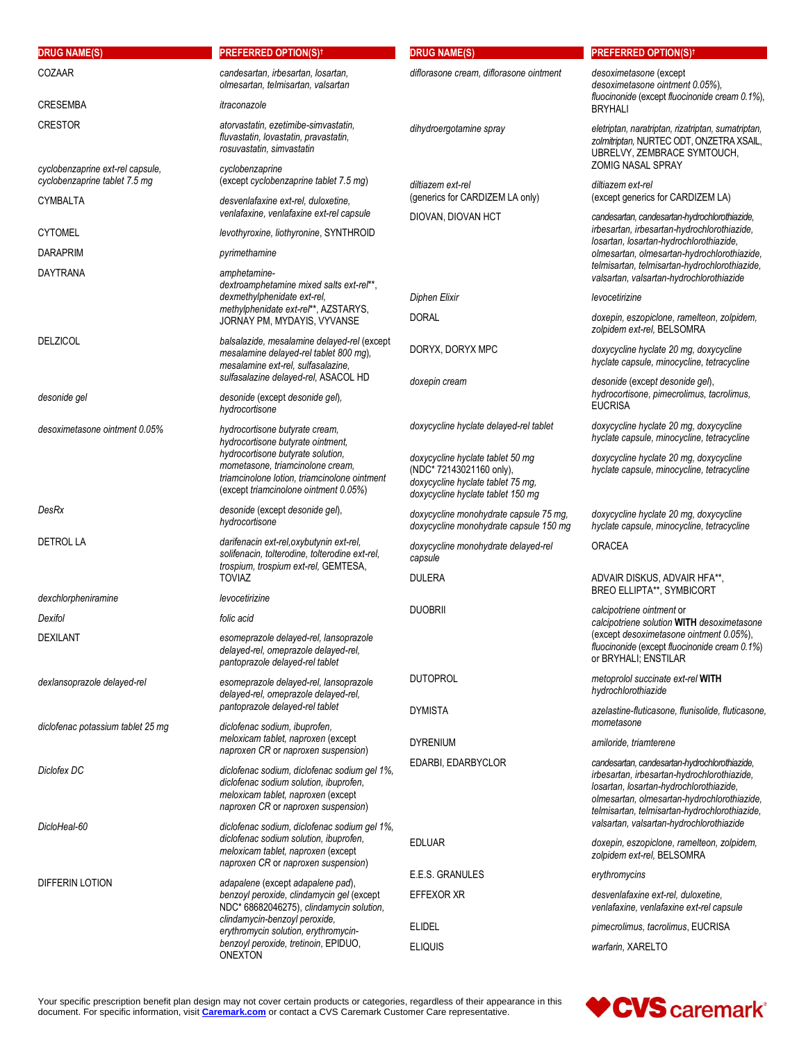| <b>DRUG NAME(S)</b>                                               | <b>PREFERRED OPTION(S)<sup>†</sup></b>                                                                                                                              | <b>DRUG NAME(S)</b>                                                                                                                    | <b>PREFERRED OPTION(S)t</b>                                                                                                                                                                                                             |
|-------------------------------------------------------------------|---------------------------------------------------------------------------------------------------------------------------------------------------------------------|----------------------------------------------------------------------------------------------------------------------------------------|-----------------------------------------------------------------------------------------------------------------------------------------------------------------------------------------------------------------------------------------|
| COZAAR                                                            | candesartan, irbesartan, losartan,<br>olmesartan, telmisartan, valsartan                                                                                            | diflorasone cream, diflorasone ointment                                                                                                | desoximetasone (except<br>desoximetasone ointment 0.05%),                                                                                                                                                                               |
| <b>CRESEMBA</b>                                                   | itraconazole                                                                                                                                                        |                                                                                                                                        | fluocinonide (except fluocinonide cream 0.1%),<br><b>BRYHALI</b>                                                                                                                                                                        |
| <b>CRESTOR</b>                                                    | atorvastatin, ezetimibe-simvastatin,<br>fluvastatin, lovastatin, pravastatin,<br>rosuvastatin, simvastatin                                                          | dihydroergotamine spray                                                                                                                | eletriptan, naratriptan, rizatriptan, sumatriptan,<br>zolmitriptan, NURTEC ODT, ONZETRA XSAIL,<br>UBRELVY, ZEMBRACE SYMTOUCH,<br><b>ZOMIG NASAL SPRAY</b>                                                                               |
| cyclobenzaprine ext-rel capsule,<br>cyclobenzaprine tablet 7.5 mg | cyclobenzaprine<br>(except cyclobenzaprine tablet 7.5 mg)                                                                                                           | diltiazem ext-rel                                                                                                                      | diltiazem ext-rel                                                                                                                                                                                                                       |
| <b>CYMBALTA</b>                                                   | desvenlafaxine ext-rel, duloxetine,<br>venlafaxine, venlafaxine ext-rel capsule                                                                                     | (generics for CARDIZEM LA only)<br>DIOVAN, DIOVAN HCT                                                                                  | (except generics for CARDIZEM LA)<br>candesartan, candesartan-hydrochlorothiazide,                                                                                                                                                      |
| <b>CYTOMEL</b>                                                    | levothyroxine, liothyronine, SYNTHROID                                                                                                                              |                                                                                                                                        | irbesartan, irbesartan-hydrochlorothiazide,<br>losartan, losartan-hydrochlorothiazide,                                                                                                                                                  |
| <b>DARAPRIM</b>                                                   | pyrimethamine                                                                                                                                                       |                                                                                                                                        | olmesartan, olmesartan-hydrochlorothiazide,<br>telmisartan, telmisartan-hydrochlorothiazide,                                                                                                                                            |
| <b>DAYTRANA</b>                                                   | amphetamine-<br>dextroamphetamine mixed salts ext-rel**,                                                                                                            |                                                                                                                                        | valsartan, valsartan-hydrochlorothiazide                                                                                                                                                                                                |
|                                                                   | dexmethylphenidate ext-rel,                                                                                                                                         | <b>Diphen Elixir</b>                                                                                                                   | levocetirizine                                                                                                                                                                                                                          |
|                                                                   | methylphenidate ext-rel**, AZSTARYS,<br>JORNAY PM, MYDAYIS, VYVANSE                                                                                                 | <b>DORAL</b>                                                                                                                           | doxepin, eszopiclone, ramelteon, zolpidem,<br>zolpidem ext-rel, BELSOMRA                                                                                                                                                                |
| <b>DELZICOL</b>                                                   | balsalazide, mesalamine delayed-rel (except<br>mesalamine delayed-rel tablet 800 mg),<br>mesalamine ext-rel, sulfasalazine,                                         | DORYX, DORYX MPC                                                                                                                       | doxycycline hyclate 20 mg, doxycycline<br>hyclate capsule, minocycline, tetracycline                                                                                                                                                    |
| desonide gel                                                      | sulfasalazine delayed-rel, ASACOL HD<br>desonide (except desonide gel),<br>hydrocortisone                                                                           | doxepin cream                                                                                                                          | desonide (except desonide gel),<br>hydrocortisone, pimecrolimus, tacrolimus,<br><b>EUCRISA</b>                                                                                                                                          |
| desoximetasone ointment 0.05%                                     | hydrocortisone butyrate cream,<br>hydrocortisone butyrate ointment,                                                                                                 | doxycycline hyclate delayed-rel tablet                                                                                                 | doxycycline hyclate 20 mg, doxycycline<br>hyclate capsule, minocycline, tetracycline                                                                                                                                                    |
|                                                                   | hydrocortisone butyrate solution,<br>mometasone, triamcinolone cream,<br>triamcinolone lotion, triamcinolone ointment<br>(except triamcinolone ointment 0.05%)      | doxycycline hyclate tablet 50 mg<br>(NDC* 72143021160 only),<br>doxycycline hyclate tablet 75 mg,<br>doxycycline hyclate tablet 150 mg | doxycycline hyclate 20 mg, doxycycline<br>hyclate capsule, minocycline, tetracycline                                                                                                                                                    |
| DesRx                                                             | desonide (except desonide gel),<br>hydrocortisone                                                                                                                   | doxycycline monohydrate capsule 75 mg,<br>doxycycline monohydrate capsule 150 mg                                                       | doxycycline hyclate 20 mg, doxycycline<br>hyclate capsule, minocycline, tetracycline                                                                                                                                                    |
| <b>DETROL LA</b>                                                  | darifenacin ext-rel, oxybutynin ext-rel,<br>solifenacin, tolterodine, tolterodine ext-rel,<br>trospium, trospium ext-rel, GEMTESA,                                  | doxycycline monohydrate delayed-rel<br>capsule                                                                                         | <b>ORACEA</b>                                                                                                                                                                                                                           |
|                                                                   | <b>TOVIAZ</b>                                                                                                                                                       | <b>DULERA</b>                                                                                                                          | ADVAIR DISKUS, ADVAIR HFA**,<br><b>BREO ELLIPTA**, SYMBICORT</b>                                                                                                                                                                        |
| dexchlorpheniramine                                               | levocetirizine                                                                                                                                                      | <b>DUOBRII</b>                                                                                                                         | calcipotriene ointment or                                                                                                                                                                                                               |
| Dexifol<br><b>DEXILANT</b>                                        | folic acid<br>esomeprazole delayed-rel, lansoprazole<br>delayed-rel, omeprazole delayed-rel,<br>pantoprazole delayed-rel tablet                                     |                                                                                                                                        | calcipotriene solution WITH desoximetasone<br>(except desoximetasone ointment 0.05%),<br>fluocinonide (except fluocinonide cream 0.1%)<br>or BRYHALI; ENSTILAR                                                                          |
| dexlansoprazole delayed-rel                                       | esomeprazole delayed-rel, lansoprazole<br>delayed-rel, omeprazole delayed-rel,                                                                                      | <b>DUTOPROL</b>                                                                                                                        | metoprolol succinate ext-rel WITH<br>hydrochlorothiazide                                                                                                                                                                                |
| diclofenac potassium tablet 25 mg                                 | pantoprazole delayed-rel tablet<br>diclofenac sodium, ibuprofen,                                                                                                    | <b>DYMISTA</b>                                                                                                                         | azelastine-fluticasone, flunisolide, fluticasone,<br>mometasone                                                                                                                                                                         |
|                                                                   | meloxicam tablet, naproxen (except<br>naproxen CR or naproxen suspension)                                                                                           | <b>DYRENIUM</b>                                                                                                                        | amiloride, triamterene                                                                                                                                                                                                                  |
| Diclofex DC                                                       | diclofenac sodium, diclofenac sodium gel 1%,<br>diclofenac sodium solution, ibuprofen,<br>meloxicam tablet, naproxen (except<br>naproxen CR or naproxen suspension) | EDARBI, EDARBYCLOR                                                                                                                     | candesartan, candesartan-hydrochlorothiazide,<br>irbesartan, irbesartan-hydrochlorothiazide,<br>losartan, losartan-hydrochlorothiazide,<br>olmesartan, olmesartan-hydrochlorothiazide,<br>telmisartan, telmisartan-hydrochlorothiazide, |
| DicloHeal-60                                                      | diclofenac sodium, diclofenac sodium gel 1%,<br>diclofenac sodium solution, ibuprofen,<br>meloxicam tablet, naproxen (except<br>naproxen CR or naproxen suspension) | <b>EDLUAR</b>                                                                                                                          | valsartan, valsartan-hydrochlorothiazide<br>doxepin, eszopiclone, ramelteon, zolpidem,<br>zolpidem ext-rel, BELSOMRA                                                                                                                    |
| DIFFERIN LOTION                                                   | adapalene (except adapalene pad),                                                                                                                                   | E.E.S. GRANULES                                                                                                                        | erythromycins                                                                                                                                                                                                                           |
|                                                                   | benzoyl peroxide, clindamycin gel (except<br>NDC* 68682046275), clindamycin solution,                                                                               | EFFEXOR XR                                                                                                                             | desvenlafaxine ext-rel, duloxetine,<br>venlafaxine, venlafaxine ext-rel capsule                                                                                                                                                         |
|                                                                   | clindamycin-benzoyl peroxide,<br>erythromycin solution, erythromycin-                                                                                               | <b>ELIDEL</b>                                                                                                                          | pimecrolimus, tacrolimus, EUCRISA                                                                                                                                                                                                       |
| benzoyl peroxide, tretinoin, EPIDUO,<br><b>ONEXTON</b>            | <b>ELIQUIS</b>                                                                                                                                                      | warfarin, XARELTO                                                                                                                      |                                                                                                                                                                                                                                         |

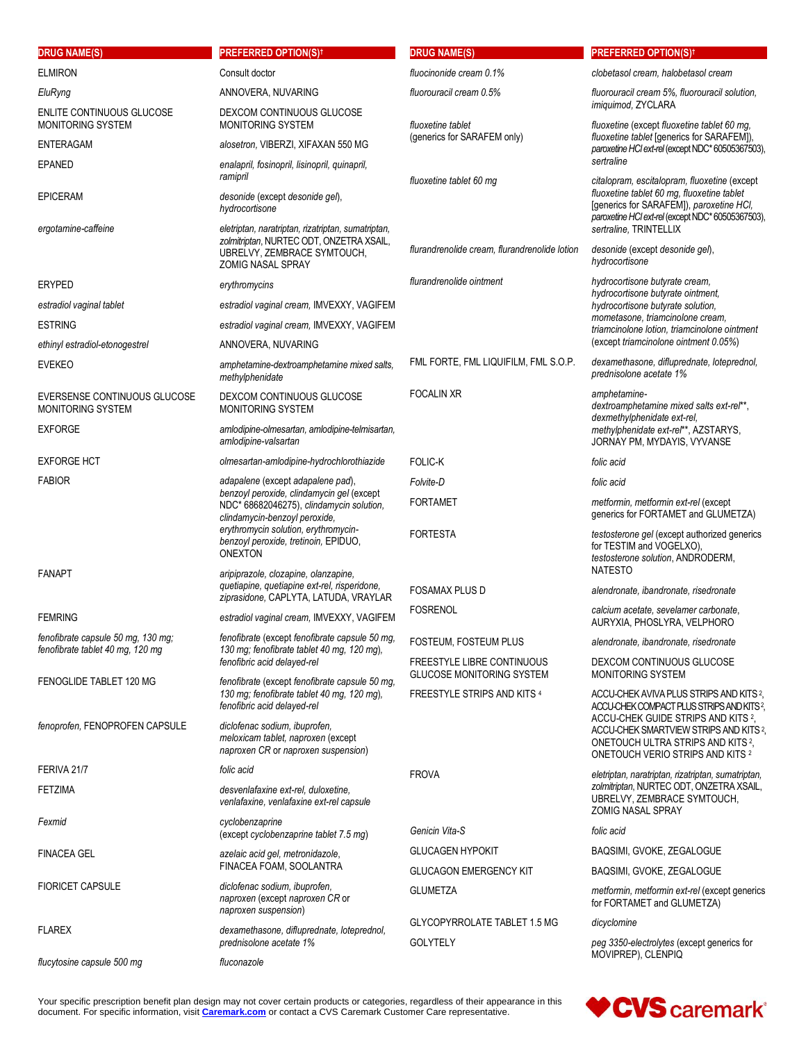| <b>DRUG NAME(S)</b>                                                    | <b>PREFERRED OPTION(S)t</b>                                                                                                                                                                                                                                   | <b>DRUG NAME(S)</b>                                                   | <b>PREFERRED OPTION(S)t</b>                                                                                                                                              |
|------------------------------------------------------------------------|---------------------------------------------------------------------------------------------------------------------------------------------------------------------------------------------------------------------------------------------------------------|-----------------------------------------------------------------------|--------------------------------------------------------------------------------------------------------------------------------------------------------------------------|
| <b>ELMIRON</b>                                                         | Consult doctor                                                                                                                                                                                                                                                | fluocinonide cream 0.1%                                               | clobetasol cream, halobetasol cream                                                                                                                                      |
| EluRyng                                                                | ANNOVERA, NUVARING                                                                                                                                                                                                                                            | fluorouracil cream 0.5%                                               | fluorouracil cream 5%, fluorouracil solution,<br>imiquimod, ZYCLARA                                                                                                      |
| <b>ENLITE CONTINUOUS GLUCOSE</b><br><b>MONITORING SYSTEM</b>           | DEXCOM CONTINUOUS GLUCOSE<br><b>MONITORING SYSTEM</b>                                                                                                                                                                                                         | fluoxetine tablet<br>(generics for SARAFEM only)                      | fluoxetine (except fluoxetine tablet 60 mg,<br>fluoxetine tablet [generics for SARAFEM]),<br>paroxetine HCl ext-rel (except NDC* 60505367503),                           |
| <b>ENTERAGAM</b>                                                       | alosetron, VIBERZI, XIFAXAN 550 MG                                                                                                                                                                                                                            |                                                                       |                                                                                                                                                                          |
| <b>EPANED</b>                                                          | enalapril, fosinopril, lisinopril, quinapril,<br>ramipril                                                                                                                                                                                                     | fluoxetine tablet 60 mg                                               | sertraline<br>citalopram, escitalopram, fluoxetine (except                                                                                                               |
| <b>EPICERAM</b>                                                        | desonide (except desonide gel),<br>hydrocortisone                                                                                                                                                                                                             |                                                                       | fluoxetine tablet 60 mg, fluoxetine tablet<br>[generics for SARAFEM]), paroxetine HCI,<br>paroxetine HCl ext-rel (except NDC* 60505367503),                              |
| ergotamine-caffeine                                                    | eletriptan, naratriptan, rizatriptan, sumatriptan,<br>zolmitriptan, NURTEC ODT, ONZETRA XSAIL,<br>UBRELVY, ZEMBRACE SYMTOUCH,<br><b>ZOMIG NASAL SPRAY</b>                                                                                                     | flurandrenolide cream, flurandrenolide lotion                         | sertraline, TRINTELLIX<br>desonide (except desonide gel),<br>hydrocortisone                                                                                              |
| <b>ERYPED</b>                                                          | erythromycins                                                                                                                                                                                                                                                 | flurandrenolide ointment                                              | hydrocortisone butyrate cream,<br>hydrocortisone butyrate ointment,                                                                                                      |
| estradiol vaginal tablet                                               | estradiol vaginal cream, IMVEXXY, VAGIFEM                                                                                                                                                                                                                     |                                                                       | hydrocortisone butyrate solution.                                                                                                                                        |
| <b>ESTRING</b>                                                         | estradiol vaginal cream, IMVEXXY, VAGIFEM                                                                                                                                                                                                                     |                                                                       | mometasone, triamcinolone cream,<br>triamcinolone lotion, triamcinolone ointment                                                                                         |
| ethinyl estradiol-etonogestrel                                         | ANNOVERA, NUVARING                                                                                                                                                                                                                                            |                                                                       | (except triamcinolone ointment 0.05%)                                                                                                                                    |
| <b>EVEKEO</b>                                                          | amphetamine-dextroamphetamine mixed salts,<br>methylphenidate                                                                                                                                                                                                 | FML FORTE, FML LIQUIFILM, FML S.O.P.                                  | dexamethasone, difluprednate, loteprednol,<br>prednisolone acetate 1%                                                                                                    |
| EVERSENSE CONTINUOUS GLUCOSE<br>MONITORING SYSTEM                      | DEXCOM CONTINUOUS GLUCOSE<br><b>MONITORING SYSTEM</b>                                                                                                                                                                                                         | <b>FOCALIN XR</b>                                                     | amphetamine-<br>dextroamphetamine mixed salts ext-rel**,<br>dexmethylphenidate ext-rel.                                                                                  |
| <b>EXFORGE</b>                                                         | amlodipine-olmesartan, amlodipine-telmisartan,<br>amlodipine-valsartan                                                                                                                                                                                        |                                                                       | methylphenidate ext-rel**, AZSTARYS,<br>JORNAY PM, MYDAYIS, VYVANSE                                                                                                      |
| <b>EXFORGE HCT</b>                                                     | olmesartan-amlodipine-hydrochlorothiazide                                                                                                                                                                                                                     | <b>FOLIC-K</b>                                                        | folic acid                                                                                                                                                               |
| <b>FABIOR</b>                                                          | adapalene (except adapalene pad),<br>benzoyl peroxide, clindamycin gel (except<br>NDC* 68682046275), clindamycin solution,<br>clindamycin-benzoyl peroxide,<br>erythromycin solution, erythromycin-<br>benzoyl peroxide, tretinoin, EPIDUO,<br><b>ONEXTON</b> | Folvite-D                                                             | folic acid                                                                                                                                                               |
|                                                                        |                                                                                                                                                                                                                                                               | <b>FORTAMET</b>                                                       | metformin, metformin ext-rel (except<br>generics for FORTAMET and GLUMETZA)                                                                                              |
|                                                                        |                                                                                                                                                                                                                                                               | <b>FORTESTA</b>                                                       | testosterone gel (except authorized generics<br>for TESTIM and VOGELXO),<br>testosterone solution, ANDRODERM,<br><b>NATESTO</b>                                          |
| <b>FANAPT</b>                                                          | aripiprazole, clozapine, olanzapine,<br>quetiapine, quetiapine ext-rel, risperidone,                                                                                                                                                                          | <b>FOSAMAX PLUS D</b>                                                 | alendronate, ibandronate, risedronate                                                                                                                                    |
|                                                                        | ziprasidone, CAPLYTA, LATUDA, VRAYLAR                                                                                                                                                                                                                         | <b>FOSRENOL</b>                                                       | calcium acetate, sevelamer carbonate,                                                                                                                                    |
| <b>FEMRING</b>                                                         | estradiol vaginal cream, IMVEXXY, VAGIFEM                                                                                                                                                                                                                     |                                                                       | AURYXIA, PHOSLYRA, VELPHORO                                                                                                                                              |
| fenofibrate capsule 50 mg, 130 mg;<br>fenofibrate tablet 40 mg, 120 mg | fenofibrate (except fenofibrate capsule 50 mg,<br>130 mg; fenofibrate tablet 40 mg, 120 mg),                                                                                                                                                                  | <b>FOSTEUM, FOSTEUM PLUS</b>                                          | alendronate, ibandronate, risedronate                                                                                                                                    |
| FENOGLIDE TABLET 120 MG                                                | fenofibric acid delayed-rel<br>fenofibrate (except fenofibrate capsule 50 mg,                                                                                                                                                                                 | <b>FREESTYLE LIBRE CONTINUOUS</b><br><b>GLUCOSE MONITORING SYSTEM</b> | DEXCOM CONTINUOUS GLUCOSE<br>MONITORING SYSTEM                                                                                                                           |
|                                                                        | 130 mg; fenofibrate tablet 40 mg, 120 mg),<br>fenofibric acid delayed-rel                                                                                                                                                                                     | <b>FREESTYLE STRIPS AND KITS 4</b>                                    | ACCU-CHEK AVIVA PLUS STRIPS AND KITS 2,<br>ACCU-CHEK COMPACT PLUS STRIPS AND KITS?                                                                                       |
| fenoprofen, FENOPROFEN CAPSULE                                         | diclofenac sodium, ibuprofen,<br>meloxicam tablet, naproxen (except<br>naproxen CR or naproxen suspension)                                                                                                                                                    |                                                                       | ACCU-CHEK GUIDE STRIPS AND KITS 2.<br>ACCU-CHEK SMARTVIEW STRIPS AND KITS 2,<br>ONETOUCH ULTRA STRIPS AND KITS <sup>2</sup> ,<br><b>ONETOUCH VERIO STRIPS AND KITS 2</b> |
| FERIVA 21/7                                                            | folic acid                                                                                                                                                                                                                                                    | <b>FROVA</b>                                                          | eletriptan, naratriptan, rizatriptan, sumatriptan,                                                                                                                       |
| <b>FETZIMA</b>                                                         | desvenlafaxine ext-rel, duloxetine,<br>venlafaxine, venlafaxine ext-rel capsule                                                                                                                                                                               |                                                                       | zolmitriptan, NURTEC ODT, ONZETRA XSAIL,<br>UBRELVY, ZEMBRACE SYMTOUCH,<br><b>ZOMIG NASAL SPRAY</b>                                                                      |
| Fexmid                                                                 | cyclobenzaprine<br>(except cyclobenzaprine tablet 7.5 mg)                                                                                                                                                                                                     | Genicin Vita-S                                                        | folic acid                                                                                                                                                               |
| <b>FINACEA GEL</b>                                                     | azelaic acid gel, metronidazole,                                                                                                                                                                                                                              | <b>GLUCAGEN HYPOKIT</b>                                               | BAQSIMI, GVOKE, ZEGALOGUE                                                                                                                                                |
|                                                                        | FINACEA FOAM, SOOLANTRA                                                                                                                                                                                                                                       | <b>GLUCAGON EMERGENCY KIT</b>                                         | BAQSIMI, GVOKE, ZEGALOGUE                                                                                                                                                |
| <b>FIORICET CAPSULE</b>                                                | diclofenac sodium, ibuprofen,<br>naproxen (except naproxen CR or<br>naproxen suspension)                                                                                                                                                                      | <b>GLUMETZA</b>                                                       | metformin, metformin ext-rel (except generics<br>for FORTAMET and GLUMETZA)                                                                                              |
| <b>FLAREX</b>                                                          | dexamethasone, difluprednate, loteprednol,<br>prednisolone acetate 1%                                                                                                                                                                                         | <b>GLYCOPYRROLATE TABLET 1.5 MG</b><br><b>GOLYTELY</b>                | dicyclomine<br>peg 3350-electrolytes (except generics for                                                                                                                |
| flucytosine capsule 500 mg                                             | fluconazole                                                                                                                                                                                                                                                   |                                                                       | MOVIPREP), CLENPIQ                                                                                                                                                       |

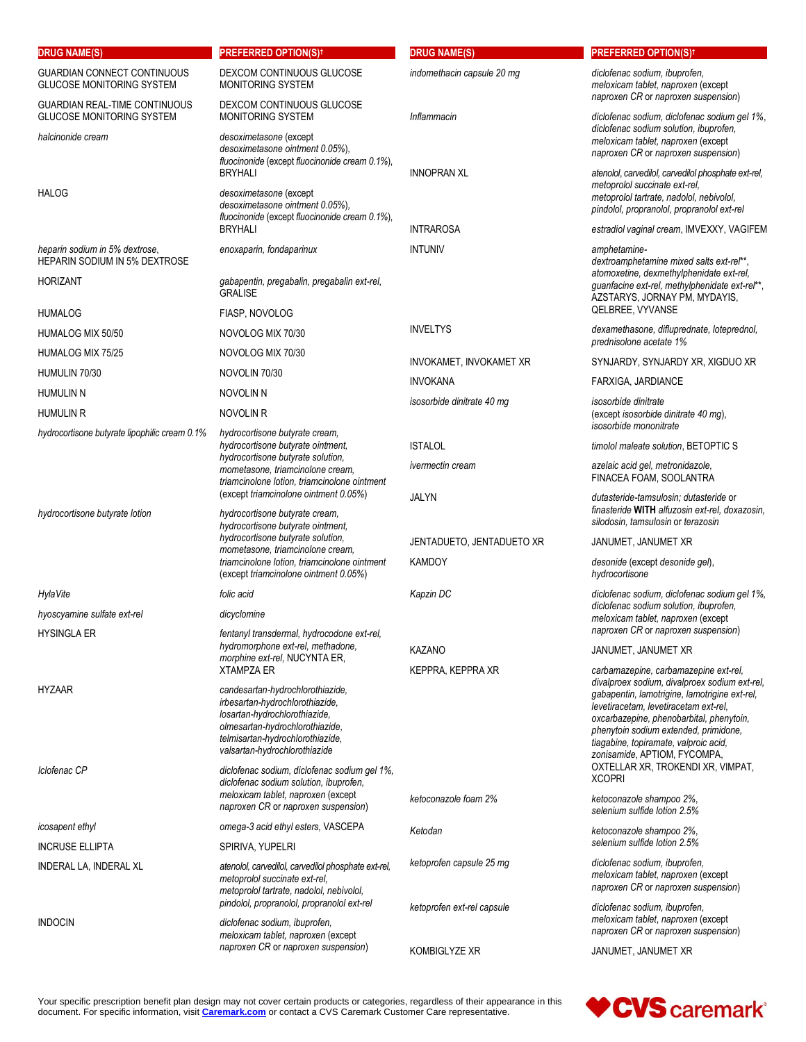| <b>DRUG NAME(S)</b>                                                      | <b>PREFERRED OPTION(S)<sup>†</sup></b>                                                                                                                                                                       | <b>DRUG NAME(S)</b>        | <b>PREFERRED OPTION(S)t</b>                                                                                                                                                                                                                                                                           |
|--------------------------------------------------------------------------|--------------------------------------------------------------------------------------------------------------------------------------------------------------------------------------------------------------|----------------------------|-------------------------------------------------------------------------------------------------------------------------------------------------------------------------------------------------------------------------------------------------------------------------------------------------------|
| <b>GUARDIAN CONNECT CONTINUOUS</b><br><b>GLUCOSE MONITORING SYSTEM</b>   | DEXCOM CONTINUOUS GLUCOSE<br>MONITORING SYSTEM                                                                                                                                                               | indomethacin capsule 20 mg | diclofenac sodium, ibuprofen,<br>meloxicam tablet, naproxen (except<br>naproxen CR or naproxen suspension)                                                                                                                                                                                            |
| <b>GUARDIAN REAL-TIME CONTINUOUS</b><br><b>GLUCOSE MONITORING SYSTEM</b> | DEXCOM CONTINUOUS GLUCOSE<br>MONITORING SYSTEM                                                                                                                                                               | Inflammacin                | diclofenac sodium, diclofenac sodium gel 1%,                                                                                                                                                                                                                                                          |
| halcinonide cream                                                        | desoximetasone (except<br>desoximetasone ointment 0.05%),<br>fluocinonide (except fluocinonide cream 0.1%),                                                                                                  |                            | diclofenac sodium solution, ibuprofen,<br>meloxicam tablet, naproxen (except<br>naproxen CR or naproxen suspension)                                                                                                                                                                                   |
| <b>HALOG</b>                                                             | <b>BRYHALI</b><br>desoximetasone (except<br>desoximetasone ointment 0.05%),<br>fluocinonide (except fluocinonide cream 0.1%),                                                                                | <b>INNOPRAN XL</b>         | atenolol, carvedilol, carvedilol phosphate ext-rel,<br>metoprolol succinate ext-rel.<br>metoprolol tartrate, nadolol, nebivolol,<br>pindolol, propranolol, propranolol ext-rel                                                                                                                        |
|                                                                          | <b>BRYHALI</b>                                                                                                                                                                                               | <b>INTRAROSA</b>           | estradiol vaginal cream, IMVEXXY, VAGIFEM                                                                                                                                                                                                                                                             |
| heparin sodium in 5% dextrose,<br><b>HEPARIN SODIUM IN 5% DEXTROSE</b>   | enoxaparin, fondaparinux                                                                                                                                                                                     | <b>INTUNIV</b>             | amphetamine-<br>dextroamphetamine mixed salts ext-rel**,                                                                                                                                                                                                                                              |
| <b>HORIZANT</b>                                                          | gabapentin, pregabalin, pregabalin ext-rel,<br><b>GRALISE</b>                                                                                                                                                |                            | atomoxetine, dexmethylphenidate ext-rel,<br>guanfacine ext-rel, methylphenidate ext-rel**,<br>AZSTARYS, JORNAY PM, MYDAYIS,                                                                                                                                                                           |
| <b>HUMALOG</b>                                                           | FIASP, NOVOLOG                                                                                                                                                                                               |                            | QELBREE, VYVANSE                                                                                                                                                                                                                                                                                      |
| HUMALOG MIX 50/50                                                        | NOVOLOG MIX 70/30                                                                                                                                                                                            | <b>INVELTYS</b>            | dexamethasone, difluprednate, loteprednol,<br>prednisolone acetate 1%                                                                                                                                                                                                                                 |
| HUMALOG MIX 75/25                                                        | NOVOLOG MIX 70/30                                                                                                                                                                                            | INVOKAMET, INVOKAMET XR    | SYNJARDY, SYNJARDY XR, XIGDUO XR                                                                                                                                                                                                                                                                      |
| HUMULIN 70/30                                                            | NOVOLIN 70/30                                                                                                                                                                                                | <b>INVOKANA</b>            | FARXIGA, JARDIANCE                                                                                                                                                                                                                                                                                    |
| <b>HUMULIN N</b>                                                         | NOVOLIN N                                                                                                                                                                                                    | isosorbide dinitrate 40 mg | isosorbide dinitrate                                                                                                                                                                                                                                                                                  |
| <b>HUMULIN R</b><br>hydrocortisone butyrate lipophilic cream 0.1%        | NOVOLIN R<br>hydrocortisone butyrate cream,                                                                                                                                                                  |                            | (except isosorbide dinitrate 40 mg),<br>isosorbide mononitrate                                                                                                                                                                                                                                        |
|                                                                          | hydrocortisone butyrate ointment,                                                                                                                                                                            | <b>ISTALOL</b>             | timolol maleate solution, BETOPTIC S                                                                                                                                                                                                                                                                  |
|                                                                          | hydrocortisone butyrate solution,<br>mometasone, triamcinolone cream,<br>triamcinolone lotion, triamcinolone ointment                                                                                        | <i>ivermectin</i> cream    | azelaic acid gel, metronidazole,<br>FINACEA FOAM, SOOLANTRA                                                                                                                                                                                                                                           |
| hydrocortisone butyrate lotion                                           | (except triamcinolone ointment 0.05%)<br>hydrocortisone butyrate cream,<br>hydrocortisone butyrate ointment,                                                                                                 | <b>JALYN</b>               | dutasteride-tamsulosin; dutasteride or<br>finasteride WITH alfuzosin ext-rel, doxazosin,<br>silodosin, tamsulosin or terazosin                                                                                                                                                                        |
|                                                                          | hydrocortisone butyrate solution,                                                                                                                                                                            | JENTADUETO, JENTADUETO XR  | JANUMET, JANUMET XR                                                                                                                                                                                                                                                                                   |
|                                                                          | mometasone, triamcinolone cream,<br>triamcinolone lotion, triamcinolone ointment<br>(except triamcinolone ointment 0.05%)                                                                                    | <b>KAMDOY</b>              | desonide (except desonide gel),<br>hydrocortisone                                                                                                                                                                                                                                                     |
| HylaVite                                                                 | folic acid                                                                                                                                                                                                   | Kapzin DC                  | diclofenac sodium, diclofenac sodium gel 1%,                                                                                                                                                                                                                                                          |
| hyoscyamine sulfate ext-rel<br><b>HYSINGLA ER</b>                        | dicyclomine<br>fentanyl transdermal, hydrocodone ext-rel,                                                                                                                                                    |                            | diclofenac sodium solution, ibuprofen,<br>meloxicam tablet, naproxen (except<br>naproxen CR or naproxen suspension)                                                                                                                                                                                   |
|                                                                          | hydromorphone ext-rel, methadone,                                                                                                                                                                            | <b>KAZANO</b>              | JANUMET, JANUMET XR                                                                                                                                                                                                                                                                                   |
|                                                                          | morphine ext-rel, NUCYNTA ER,<br><b>XTAMPZA ER</b>                                                                                                                                                           | KEPPRA, KEPPRA XR          | carbamazepine, carbamazepine ext-rel,                                                                                                                                                                                                                                                                 |
| <b>HYZAAR</b>                                                            | candesartan-hydrochlorothiazide,<br>irbesartan-hydrochlorothiazide,<br>losartan-hydrochlorothiazide,<br>olmesartan-hydrochlorothiazide,<br>telmisartan-hydrochlorothiazide,<br>valsartan-hydrochlorothiazide |                            | divalproex sodium, divalproex sodium ext-rel,<br>gabapentin, lamotrigine, lamotrigine ext-rel,<br>levetiracetam, levetiracetam ext-rel,<br>oxcarbazepine, phenobarbital, phenytoin,<br>phenytoin sodium extended, primidone,<br>tiagabine, topiramate, valproic acid,<br>zonisamide, APTIOM, FYCOMPA, |
| Iclofenac CP                                                             | diclofenac sodium, diclofenac sodium gel 1%,<br>diclofenac sodium solution, ibuprofen,<br>meloxicam tablet, naproxen (except                                                                                 | ketoconazole foam 2%       | OXTELLAR XR, TROKENDI XR, VIMPAT,<br><b>XCOPRI</b><br>ketoconazole shampoo 2%,                                                                                                                                                                                                                        |
| <i>icosapent ethyl</i>                                                   | naproxen CR or naproxen suspension)<br>omega-3 acid ethyl esters, VASCEPA                                                                                                                                    |                            | selenium sulfide lotion 2.5%                                                                                                                                                                                                                                                                          |
| <b>INCRUSE ELLIPTA</b>                                                   | SPIRIVA, YUPELRI                                                                                                                                                                                             | Ketodan                    | ketoconazole shampoo 2%,<br>selenium sulfide lotion 2.5%                                                                                                                                                                                                                                              |
| INDERAL LA, INDERAL XL                                                   | atenolol, carvedilol, carvedilol phosphate ext-rel,<br>metoprolol succinate ext-rel,<br>metoprolol tartrate, nadolol, nebivolol,                                                                             | ketoprofen capsule 25 mg   | diclofenac sodium, ibuprofen,<br>meloxicam tablet, naproxen (except<br>naproxen CR or naproxen suspension)                                                                                                                                                                                            |
| <b>INDOCIN</b>                                                           | pindolol, propranolol, propranolol ext-rel<br>diclofenac sodium, ibuprofen,<br>meloxicam tablet, naproxen (except                                                                                            | ketoprofen ext-rel capsule | diclofenac sodium, ibuprofen,<br>meloxicam tablet, naproxen (except<br>naproxen CR or naproxen suspension)                                                                                                                                                                                            |
|                                                                          | naproxen CR or naproxen suspension)                                                                                                                                                                          | KOMBIGLYZE XR              | JANUMET, JANUMET XR                                                                                                                                                                                                                                                                                   |

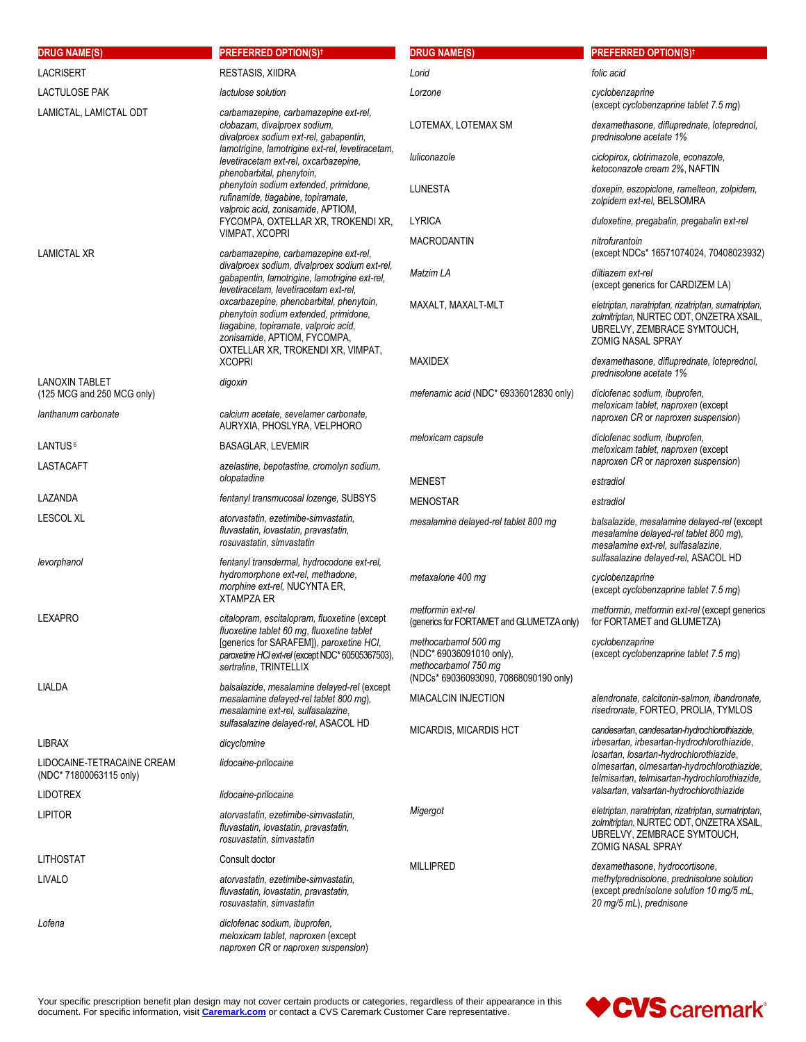| <b>DRUG NAME(S)</b>                                                        | <b>PREFERRED OPTION(S)<sup>†</sup></b>                                                                                                                                                          | <b>DRUG NAME(S)</b>                                                                                               | <b>PREFERRED OPTION(S)<sup>†</sup></b>                                                                                                                    |
|----------------------------------------------------------------------------|-------------------------------------------------------------------------------------------------------------------------------------------------------------------------------------------------|-------------------------------------------------------------------------------------------------------------------|-----------------------------------------------------------------------------------------------------------------------------------------------------------|
| <b>LACRISERT</b>                                                           | RESTASIS, XIIDRA                                                                                                                                                                                | Lorid                                                                                                             | folic acid                                                                                                                                                |
| <b>LACTULOSE PAK</b>                                                       | lactulose solution                                                                                                                                                                              | Lorzone                                                                                                           | cyclobenzaprine<br>(except cyclobenzaprine tablet 7.5 mg)                                                                                                 |
| LAMICTAL, LAMICTAL ODT                                                     | carbamazepine, carbamazepine ext-rel,<br>clobazam, divalproex sodium,<br>divalproex sodium ext-rel, gabapentin,                                                                                 | LOTEMAX, LOTEMAX SM                                                                                               | dexamethasone, difluprednate, loteprednol,<br>prednisolone acetate 1%                                                                                     |
|                                                                            | lamotrigine, lamotrigine ext-rel, levetiracetam,<br>levetiracetam ext-rel, oxcarbazepine,<br>phenobarbital, phenytoin,                                                                          | luliconazole                                                                                                      | ciclopirox, clotrimazole, econazole,<br>ketoconazole cream 2%, NAFTIN                                                                                     |
|                                                                            | phenytoin sodium extended, primidone,<br>rufinamide, tiagabine, topiramate,<br>valproic acid, zonisamide, APTIOM,                                                                               | LUNESTA                                                                                                           | doxepin, eszopiclone, ramelteon, zolpidem,<br>zolpidem ext-rel, BELSOMRA                                                                                  |
|                                                                            | FYCOMPA, OXTELLAR XR, TROKENDI XR,                                                                                                                                                              | <b>LYRICA</b>                                                                                                     | duloxetine, pregabalin, pregabalin ext-rel                                                                                                                |
| <b>LAMICTAL XR</b>                                                         | VIMPAT, XCOPRI<br>carbamazepine, carbamazepine ext-rel,                                                                                                                                         | <b>MACRODANTIN</b>                                                                                                | nitrofurantoin<br>(except NDCs* 16571074024, 70408023932)                                                                                                 |
|                                                                            | divalproex sodium, divalproex sodium ext-rel,<br>gabapentin, lamotrigine, lamotrigine ext-rel,<br>levetiracetam, levetiracetam ext-rel,                                                         | Matzim LA                                                                                                         | diltiazem ext-rel<br>(except generics for CARDIZEM LA)                                                                                                    |
|                                                                            | oxcarbazepine, phenobarbital, phenytoin,<br>phenytoin sodium extended, primidone,<br>tiagabine, topiramate, valproic acid,<br>zonisamide, APTIOM, FYCOMPA,<br>OXTELLAR XR, TROKENDI XR, VIMPAT, | MAXALT, MAXALT-MLT                                                                                                | eletriptan, naratriptan, rizatriptan, sumatriptan,<br>zolmitriptan, NURTEC ODT, ONZETRA XSAIL,<br>UBRELVY, ZEMBRACE SYMTOUCH,<br><b>ZOMIG NASAL SPRAY</b> |
|                                                                            | <b>XCOPRI</b>                                                                                                                                                                                   | <b>MAXIDEX</b>                                                                                                    | dexamethasone, difluprednate, loteprednol,<br>prednisolone acetate 1%                                                                                     |
| <b>LANOXIN TABLET</b><br>(125 MCG and 250 MCG only)<br>lanthanum carbonate | digoxin<br>calcium acetate, sevelamer carbonate,                                                                                                                                                | mefenamic acid (NDC* 69336012830 only)                                                                            | diclofenac sodium, ibuprofen,<br>meloxicam tablet, naproxen (except                                                                                       |
|                                                                            | AURYXIA, PHOSLYRA, VELPHORO                                                                                                                                                                     |                                                                                                                   | naproxen CR or naproxen suspension)                                                                                                                       |
| LANTUS <sup>6</sup>                                                        | <b>BASAGLAR, LEVEMIR</b>                                                                                                                                                                        | meloxicam capsule                                                                                                 | diclofenac sodium, ibuprofen,<br>meloxicam tablet, naproxen (except<br>naproxen CR or naproxen suspension)                                                |
| LASTACAFT                                                                  | azelastine, bepotastine, cromolyn sodium,<br>olopatadine                                                                                                                                        | <b>MENEST</b>                                                                                                     | estradiol                                                                                                                                                 |
| LAZANDA                                                                    | fentanyl transmucosal lozenge, SUBSYS                                                                                                                                                           | <b>MENOSTAR</b>                                                                                                   | estradiol                                                                                                                                                 |
| <b>LESCOL XL</b>                                                           | atorvastatin, ezetimibe-simvastatin,<br>fluvastatin, lovastatin, pravastatin,<br>rosuvastatin, simvastatin                                                                                      | mesalamine delayed-rel tablet 800 mg                                                                              | balsalazide, mesalamine delayed-rel (except<br>mesalamine delayed-rel tablet 800 mg),<br>mesalamine ext-rel, sulfasalazine,                               |
| levorphanol                                                                | fentanyl transdermal, hydrocodone ext-rel,<br>hydromorphone ext-rel, methadone,<br>morphine ext-rel, NUCYNTA ER,<br><b>XTAMPZA ER</b>                                                           | metaxalone 400 mg                                                                                                 | sulfasalazine delayed-rel, ASACOL HD<br>cyclobenzaprine<br>(except cyclobenzaprine tablet 7.5 mg)                                                         |
| <b>LEXAPRO</b>                                                             | citalopram, escitalopram, fluoxetine (except<br>fluoxetine tablet 60 mg, fluoxetine tablet                                                                                                      | metformin ext-rel<br>(generics for FORTAMET and GLUMETZA only)                                                    | metformin, metformin ext-rel (except generics<br>for FORTAMET and GLUMETZA)                                                                               |
|                                                                            | [generics for SARAFEM]), paroxetine HCI,<br>paroxetine HCl ext-rel (except NDC* 60505367503),<br>sertraline, TRINTELLIX                                                                         | methocarbamol 500 mg<br>(NDC* 69036091010 only),<br>methocarbamol 750 mg<br>(NDCs* 69036093090, 70868090190 only) | cyclobenzaprine<br>(except cyclobenzaprine tablet 7.5 mg)                                                                                                 |
| LIALDA                                                                     | balsalazide, mesalamine delayed-rel (except<br>mesalamine delayed-rel tablet 800 mg).<br>mesalamine ext-rel, sulfasalazine,                                                                     | <b>MIACALCIN INJECTION</b>                                                                                        | alendronate, calcitonin-salmon, ibandronate,<br>risedronate, FORTEO, PROLIA, TYMLOS                                                                       |
|                                                                            | sulfasalazine delayed-rel, ASACOL HD                                                                                                                                                            | MICARDIS, MICARDIS HCT                                                                                            | candesartan, candesartan-hydrochlorothiazide,                                                                                                             |
| LIBRAX                                                                     | dicyclomine                                                                                                                                                                                     |                                                                                                                   | irbesartan, irbesartan-hydrochlorothiazide,                                                                                                               |
| LIDOCAINE-TETRACAINE CREAM<br>(NDC* 71800063115 only)                      | lidocaine-prilocaine                                                                                                                                                                            |                                                                                                                   | losartan, losartan-hydrochlorothiazide,<br>olmesartan, olmesartan-hydrochlorothiazide,<br>telmisartan, telmisartan-hydrochlorothiazide,                   |
| <b>LIDOTREX</b>                                                            | lidocaine-prilocaine                                                                                                                                                                            |                                                                                                                   | valsartan, valsartan-hydrochlorothiazide                                                                                                                  |
| <b>LIPITOR</b>                                                             | atorvastatin, ezetimibe-simvastatin,<br>fluvastatin, lovastatin, pravastatin,<br>rosuvastatin, simvastatin                                                                                      | Migergot                                                                                                          | eletriptan, naratriptan, rizatriptan, sumatriptan,<br>zolmitriptan, NURTEC ODT, ONZETRA XSAIL,<br>UBRELVY, ZEMBRACE SYMTOUCH,<br><b>ZOMIG NASAL SPRAY</b> |
| LITHOSTAT                                                                  | Consult doctor                                                                                                                                                                                  | <b>MILLIPRED</b>                                                                                                  | dexamethasone, hydrocortisone,                                                                                                                            |
| LIVALO                                                                     | atorvastatin, ezetimibe-simvastatin,<br>fluvastatin, lovastatin, pravastatin,<br>rosuvastatin, simvastatin                                                                                      |                                                                                                                   | methylprednisolone, prednisolone solution<br>(except prednisolone solution 10 mg/5 mL,<br>20 mg/5 mL), prednisone                                         |
| Lofena                                                                     | diclofenac sodium, ibuprofen,<br>meloxicam tablet, naproxen (except<br>naproxen CR or naproxen suspension)                                                                                      |                                                                                                                   |                                                                                                                                                           |

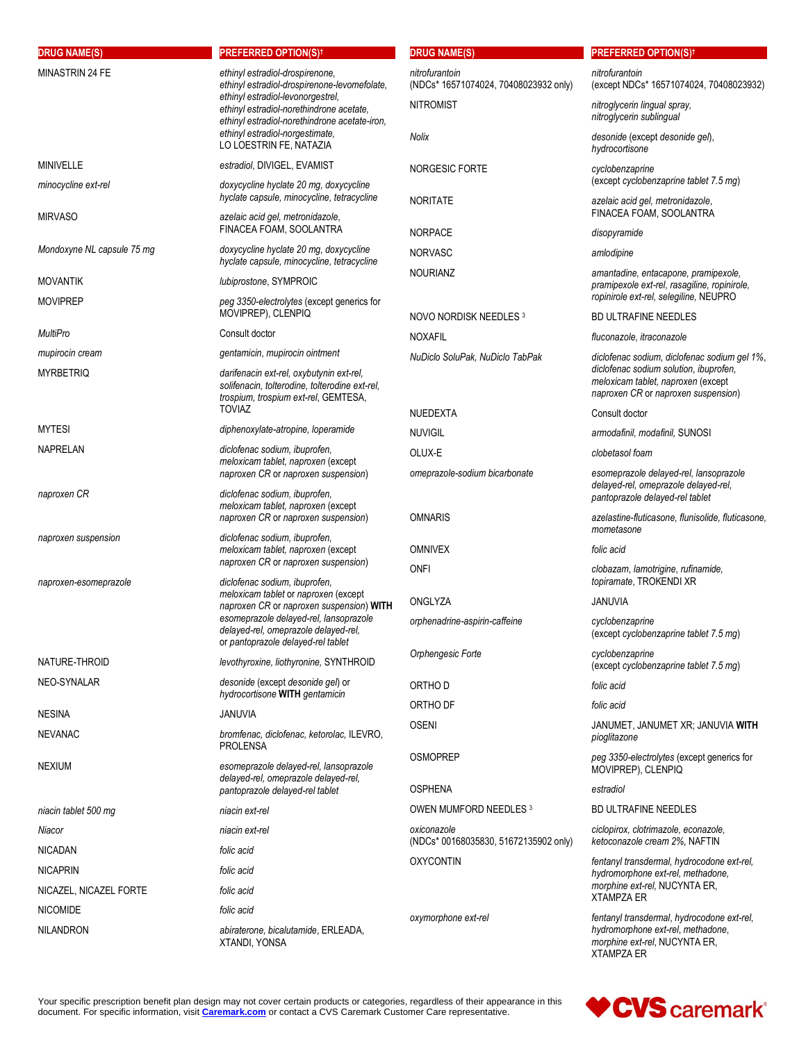| <b>DRUG NAME(S)</b>                 | <b>PREFERRED OPTION(S)t</b>                                                                                                                                                                                                               | <b>DRUG NAME(S)</b>                                     | <b>PREFERRED OPTION(S)<sup>†</sup></b>                                                                                                |
|-------------------------------------|-------------------------------------------------------------------------------------------------------------------------------------------------------------------------------------------------------------------------------------------|---------------------------------------------------------|---------------------------------------------------------------------------------------------------------------------------------------|
| MINASTRIN 24 FE                     | ethinyl estradiol-drospirenone,<br>ethinyl estradiol-drospirenone-levomefolate,<br>ethinyl estradiol-levonorgestrel,<br>ethinyl estradiol-norethindrone acetate,<br>ethinyl estradiol-norethindrone acetate-iron,                         | nitrofurantoin<br>(NDCs* 16571074024, 70408023932 only) | nitrofurantoin<br>(except NDCs* 16571074024, 70408023932)                                                                             |
|                                     |                                                                                                                                                                                                                                           | <b>NITROMIST</b>                                        | nitroglycerin lingual spray,<br>nitroglycerin sublingual                                                                              |
|                                     | ethinyl estradiol-norgestimate.<br>LO LOESTRIN FE, NATAZIA                                                                                                                                                                                | Nolix                                                   | desonide (except desonide gel),<br>hydrocortisone                                                                                     |
| <b>MINIVELLE</b>                    | estradiol, DIVIGEL, EVAMIST                                                                                                                                                                                                               | NORGESIC FORTE                                          | cyclobenzaprine                                                                                                                       |
| minocycline ext-rel                 | doxycycline hyclate 20 mg, doxycycline<br>hyclate capsule, minocycline, tetracycline                                                                                                                                                      | <b>NORITATE</b>                                         | (except cyclobenzaprine tablet 7.5 mg)<br>azelaic acid gel, metronidazole,                                                            |
| <b>MIRVASO</b>                      | azelaic acid gel, metronidazole,<br>FINACEA FOAM, SOOLANTRA                                                                                                                                                                               | <b>NORPACE</b>                                          | FINACEA FOAM, SOOLANTRA<br>disopyramide                                                                                               |
| Mondoxyne NL capsule 75 mg          | doxycycline hyclate 20 mg, doxycycline                                                                                                                                                                                                    | <b>NORVASC</b>                                          | amlodipine                                                                                                                            |
| <b>MOVANTIK</b>                     | hyclate capsule, minocycline, tetracycline<br>lubiprostone, SYMPROIC                                                                                                                                                                      | <b>NOURIANZ</b>                                         | amantadine, entacapone, pramipexole,                                                                                                  |
| <b>MOVIPREP</b>                     | peg 3350-electrolytes (except generics for                                                                                                                                                                                                |                                                         | pramipexole ext-rel, rasagiline, ropinirole,<br>ropinirole ext-rel, selegiline, NEUPRO                                                |
|                                     | MOVIPREP), CLENPIQ                                                                                                                                                                                                                        | NOVO NORDISK NEEDLES 3                                  | <b>BD ULTRAFINE NEEDLES</b>                                                                                                           |
| <b>MultiPro</b>                     | Consult doctor                                                                                                                                                                                                                            | <b>NOXAFIL</b>                                          | fluconazole, itraconazole                                                                                                             |
| mupirocin cream                     | gentamicin, mupirocin ointment                                                                                                                                                                                                            | NuDiclo SoluPak, NuDiclo TabPak                         | diclofenac sodium, diclofenac sodium gel 1%,                                                                                          |
| <b>MYRBETRIQ</b>                    | darifenacin ext-rel, oxybutynin ext-rel,<br>solifenacin, tolterodine, tolterodine ext-rel,<br>trospium, trospium ext-rel, GEMTESA,                                                                                                        |                                                         | diclofenac sodium solution, ibuprofen,<br>meloxicam tablet, naproxen (except<br>naproxen CR or naproxen suspension)                   |
|                                     | <b>TOVIAZ</b>                                                                                                                                                                                                                             | <b>NUEDEXTA</b>                                         | Consult doctor                                                                                                                        |
| <b>MYTESI</b>                       | diphenoxylate-atropine, loperamide                                                                                                                                                                                                        | <b>NUVIGIL</b>                                          | armodafinil, modafinil, SUNOSI                                                                                                        |
| <b>NAPRELAN</b>                     | diclofenac sodium, ibuprofen,                                                                                                                                                                                                             | OLUX-E                                                  | clobetasol foam                                                                                                                       |
|                                     | meloxicam tablet, naproxen (except<br>naproxen CR or naproxen suspension)                                                                                                                                                                 | omeprazole-sodium bicarbonate                           | esomeprazole delayed-rel, lansoprazole<br>delayed-rel, omeprazole delayed-rel,                                                        |
| naproxen CR                         | diclofenac sodium, ibuprofen,<br>meloxicam tablet, naproxen (except                                                                                                                                                                       |                                                         | pantoprazole delayed-rel tablet                                                                                                       |
| naproxen suspension                 | naproxen CR or naproxen suspension)<br>diclofenac sodium, ibuprofen,                                                                                                                                                                      | <b>OMNARIS</b>                                          | azelastine-fluticasone, flunisolide, fluticasone,<br>mometasone                                                                       |
|                                     | meloxicam tablet, naproxen (except<br>naproxen CR or naproxen suspension)                                                                                                                                                                 | <b>OMNIVEX</b>                                          | folic acid                                                                                                                            |
| naproxen-esomeprazole               | diclofenac sodium, ibuprofen,<br>meloxicam tablet or naproxen (except<br>naproxen CR or naproxen suspension) WITH<br>esomeprazole delayed-rel, lansoprazole<br>delayed-rel, omeprazole delayed-rel,<br>or pantoprazole delayed-rel tablet | <b>ONFI</b>                                             | clobazam, lamotrigine, rufinamide,<br>topiramate, TROKENDI XR                                                                         |
|                                     |                                                                                                                                                                                                                                           | ONGLYZA                                                 | <b>JANUVIA</b>                                                                                                                        |
|                                     |                                                                                                                                                                                                                                           | orphenadrine-aspirin-caffeine                           | cyclobenzaprine<br>(except cyclobenzaprine tablet 7.5 mg)                                                                             |
| NATURE-THROID                       | levothyroxine, liothyronine, SYNTHROID                                                                                                                                                                                                    | Orphengesic Forte                                       | cyclobenzaprine<br>(except cyclobenzaprine tablet 7.5 mg)                                                                             |
| NEO-SYNALAR                         | desonide (except desonide gel) or                                                                                                                                                                                                         | ORTHO D                                                 | folic acid                                                                                                                            |
|                                     | hydrocortisone WITH gentamicin                                                                                                                                                                                                            | ORTHO DF                                                | folic acid                                                                                                                            |
| <b>NESINA</b>                       | <b>JANUVIA</b>                                                                                                                                                                                                                            | <b>OSENI</b>                                            | JANUMET, JANUMET XR; JANUVIA WITH                                                                                                     |
| <b>NEVANAC</b>                      | bromfenac, diclofenac, ketorolac, ILEVRO,<br><b>PROLENSA</b>                                                                                                                                                                              |                                                         | pioglitazone                                                                                                                          |
| <b>NEXIUM</b>                       | esomeprazole delayed-rel, lansoprazole<br>delayed-rel, omeprazole delayed-rel,                                                                                                                                                            | <b>OSMOPREP</b>                                         | peg 3350-electrolytes (except generics for<br>MOVIPREP), CLENPIQ                                                                      |
|                                     | pantoprazole delayed-rel tablet                                                                                                                                                                                                           | <b>OSPHENA</b>                                          | estradiol                                                                                                                             |
| niacin tablet 500 mg                | niacin ext-rel                                                                                                                                                                                                                            | OWEN MUMFORD NEEDLES 3                                  | <b>BD ULTRAFINE NEEDLES</b>                                                                                                           |
| Niacor                              | niacin ext-rel                                                                                                                                                                                                                            | oxiconazole<br>(NDCs* 00168035830, 51672135902 only)    | ciclopirox, clotrimazole, econazole,<br>ketoconazole cream 2%, NAFTIN                                                                 |
| <b>NICADAN</b>                      | folic acid                                                                                                                                                                                                                                | <b>OXYCONTIN</b>                                        | fentanyl transdermal, hydrocodone ext-rel,                                                                                            |
| <b>NICAPRIN</b>                     | folic acid                                                                                                                                                                                                                                |                                                         | hydromorphone ext-rel, methadone,                                                                                                     |
| NICAZEL, NICAZEL FORTE              | folic acid                                                                                                                                                                                                                                |                                                         | morphine ext-rel, NUCYNTA ER,<br><b>XTAMPZA ER</b>                                                                                    |
| <b>NICOMIDE</b><br><b>NILANDRON</b> | folic acid<br>abiraterone, bicalutamide, ERLEADA,<br>XTANDI, YONSA                                                                                                                                                                        | oxymorphone ext-rel                                     | fentanyl transdermal, hydrocodone ext-rel,<br>hydromorphone ext-rel, methadone,<br>morphine ext-rel, NUCYNTA ER,<br><b>XTAMPZA ER</b> |

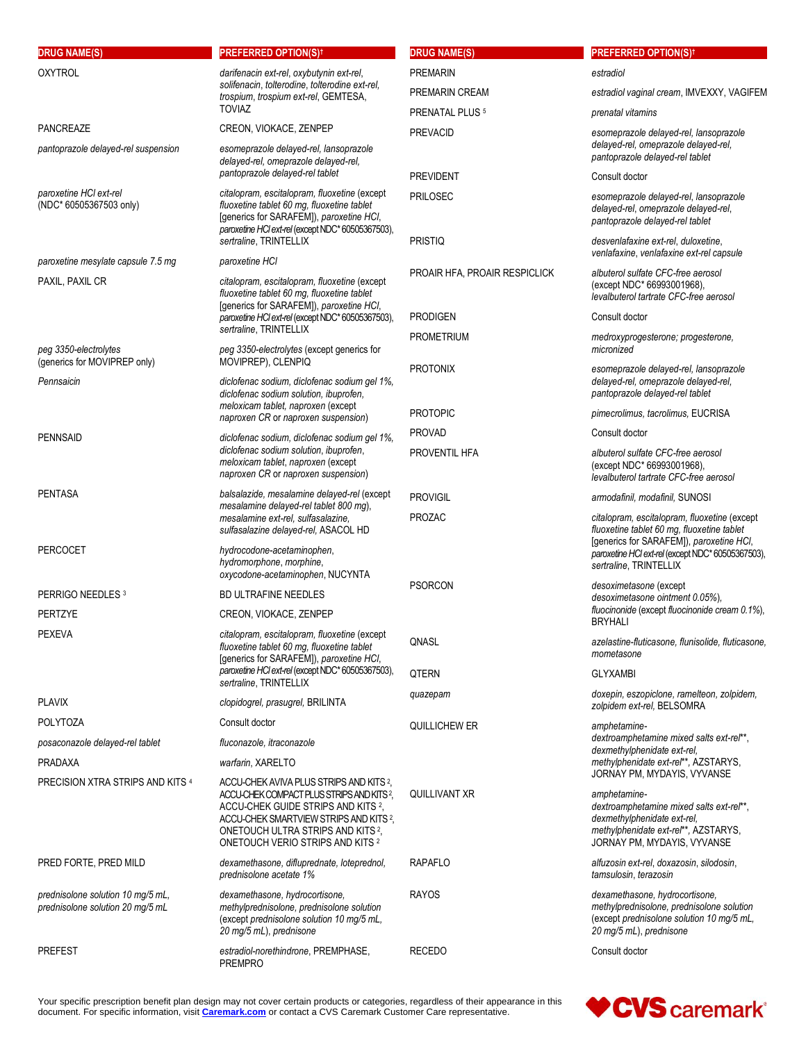| <b>DRUG NAME(S)</b>                                                   | PREFERRED OPTION(S) <sup>+</sup>                                                                                                                                                                                          | <b>DRUG NAME(S)</b>           | <b>PREFERRED OPTION(S)<sup>†</sup></b>                                                                                                                         |
|-----------------------------------------------------------------------|---------------------------------------------------------------------------------------------------------------------------------------------------------------------------------------------------------------------------|-------------------------------|----------------------------------------------------------------------------------------------------------------------------------------------------------------|
| <b>OXYTROL</b>                                                        | darifenacin ext-rel, oxybutynin ext-rel,<br>solifenacin, tolterodine, tolterodine ext-rel,<br>trospium, trospium ext-rel, GEMTESA,<br><b>TOVIAZ</b>                                                                       | <b>PREMARIN</b>               | estradiol                                                                                                                                                      |
|                                                                       |                                                                                                                                                                                                                           | PREMARIN CREAM                | estradiol vaginal cream, IMVEXXY, VAGIFEM                                                                                                                      |
|                                                                       |                                                                                                                                                                                                                           | PRENATAL PLUS <sup>5</sup>    | prenatal vitamins                                                                                                                                              |
| <b>PANCREAZE</b>                                                      | CREON, VIOKACE, ZENPEP                                                                                                                                                                                                    | <b>PREVACID</b>               | esomeprazole delayed-rel, lansoprazole                                                                                                                         |
| pantoprazole delayed-rel suspension                                   | esomeprazole delayed-rel, lansoprazole<br>delayed-rel, omeprazole delayed-rel,                                                                                                                                            |                               | delayed-rel, omeprazole delayed-rel,<br>pantoprazole delayed-rel tablet                                                                                        |
|                                                                       | pantoprazole delayed-rel tablet                                                                                                                                                                                           | <b>PREVIDENT</b>              | Consult doctor                                                                                                                                                 |
| paroxetine HCI ext-rel                                                | citalopram, escitalopram, fluoxetine (except                                                                                                                                                                              | <b>PRILOSEC</b>               | esomeprazole delayed-rel, lansoprazole                                                                                                                         |
| (NDC* 60505367503 only)                                               | fluoxetine tablet 60 mg, fluoxetine tablet<br>[generics for SARAFEM]), paroxetine HCI,<br>paroxetine HCl ext-rel (except NDC* 60505367503),                                                                               |                               | delayed-rel, omeprazole delayed-rel,<br>pantoprazole delayed-rel tablet                                                                                        |
| paroxetine mesylate capsule 7.5 mg                                    | sertraline, TRINTELLIX<br>paroxetine HCI                                                                                                                                                                                  | PRISTIQ                       | desvenlafaxine ext-rel, duloxetine,<br>venlafaxine, venlafaxine ext-rel capsule                                                                                |
| PAXIL, PAXIL CR                                                       | citalopram, escitalopram, fluoxetine (except                                                                                                                                                                              | PROAIR HFA, PROAIR RESPICLICK | albuterol sulfate CFC-free aerosol                                                                                                                             |
|                                                                       | fluoxetine tablet 60 mg, fluoxetine tablet                                                                                                                                                                                |                               | (except NDC* 66993001968),<br>levalbuterol tartrate CFC-free aerosol                                                                                           |
|                                                                       | [generics for SARAFEM]), paroxetine HCI,<br>paroxetine HCl ext-rel (except NDC* 60505367503),                                                                                                                             | <b>PRODIGEN</b>               | Consult doctor                                                                                                                                                 |
|                                                                       | sertraline, TRINTELLIX                                                                                                                                                                                                    | <b>PROMETRIUM</b>             | medroxyprogesterone; progesterone,                                                                                                                             |
| peg 3350-electrolytes<br>(generics for MOVIPREP only)                 | peg 3350-electrolytes (except generics for<br>MOVIPREP), CLENPIQ                                                                                                                                                          |                               | micronized                                                                                                                                                     |
| Pennsaicin                                                            | diclofenac sodium, diclofenac sodium gel 1%,                                                                                                                                                                              | <b>PROTONIX</b>               | esomeprazole delayed-rel, lansoprazole<br>delayed-rel, omeprazole delayed-rel,                                                                                 |
|                                                                       | diclofenac sodium solution, ibuprofen,<br>meloxicam tablet, naproxen (except<br>naproxen CR or naproxen suspension)                                                                                                       |                               | pantoprazole delayed-rel tablet                                                                                                                                |
|                                                                       |                                                                                                                                                                                                                           | <b>PROTOPIC</b>               | pimecrolimus, tacrolimus, EUCRISA                                                                                                                              |
| <b>PENNSAID</b>                                                       | diclofenac sodium, diclofenac sodium gel 1%,                                                                                                                                                                              | <b>PROVAD</b>                 | Consult doctor                                                                                                                                                 |
|                                                                       | diclofenac sodium solution, ibuprofen,<br>meloxicam tablet, naproxen (except<br>naproxen CR or naproxen suspension)                                                                                                       | PROVENTIL HFA                 | albuterol sulfate CFC-free aerosol<br>(except NDC* 66993001968),<br>levalbuterol tartrate CFC-free aerosol                                                     |
| <b>PENTASA</b>                                                        | balsalazide, mesalamine delayed-rel (except                                                                                                                                                                               | <b>PROVIGIL</b>               | armodafinil, modafinil, SUNOSI                                                                                                                                 |
|                                                                       | mesalamine delayed-rel tablet 800 mg),<br>mesalamine ext-rel, sulfasalazine,                                                                                                                                              | PROZAC                        | citalopram, escitalopram, fluoxetine (except                                                                                                                   |
|                                                                       | sulfasalazine delayed-rel, ASACOL HD                                                                                                                                                                                      |                               | fluoxetine tablet 60 mg, fluoxetine tablet<br>[generics for SARAFEM]), paroxetine HCI,                                                                         |
| <b>PERCOCET</b>                                                       | hydrocodone-acetaminophen,<br>hydromorphone, morphine,                                                                                                                                                                    |                               | paroxetine HCl ext-rel (except NDC* 60505367503),                                                                                                              |
|                                                                       | oxycodone-acetaminophen, NUCYNTA                                                                                                                                                                                          |                               | sertraline, TRINTELLIX                                                                                                                                         |
| PERRIGO NEEDLES 3                                                     | <b>BD ULTRAFINE NEEDLES</b>                                                                                                                                                                                               | <b>PSORCON</b>                | desoximetasone (except<br>desoximetasone ointment 0.05%).                                                                                                      |
| <b>PERTZYE</b>                                                        | CREON, VIOKACE, ZENPEP                                                                                                                                                                                                    |                               | fluocinonide (except fluocinonide cream 0.1%),<br><b>BRYHALI</b>                                                                                               |
| <b>PEXEVA</b>                                                         | citalopram, escitalopram, fluoxetine (except<br>fluoxetine tablet 60 mg, fluoxetine tablet<br>[generics for SARAFEM]), paroxetine HCI,<br>paroxetine HCl ext-rel (except NDC* 60505367503),<br>sertraline, TRINTELLIX     | QNASL                         | azelastine-fluticasone, flunisolide, fluticasone,                                                                                                              |
|                                                                       |                                                                                                                                                                                                                           |                               | mometasone                                                                                                                                                     |
|                                                                       |                                                                                                                                                                                                                           | QTERN                         | <b>GLYXAMBI</b>                                                                                                                                                |
| <b>PLAVIX</b>                                                         | clopidogrel, prasugrel, BRILINTA                                                                                                                                                                                          | quazepam                      | doxepin, eszopiclone, ramelteon, zolpidem,<br>zolpidem ext-rel, BELSOMRA                                                                                       |
| <b>POLYTOZA</b>                                                       | Consult doctor                                                                                                                                                                                                            | QUILLICHEW ER                 | amphetamine-                                                                                                                                                   |
| posaconazole delayed-rel tablet                                       | fluconazole, itraconazole                                                                                                                                                                                                 |                               | dextroamphetamine mixed salts ext-rel**,<br>dexmethylphenidate ext-rel,                                                                                        |
| <b>PRADAXA</b>                                                        | warfarin, XARELTO                                                                                                                                                                                                         |                               | methylphenidate ext-rel**, AZSTARYS,                                                                                                                           |
| PRECISION XTRA STRIPS AND KITS 4                                      | ACCU-CHEK AVIVA PLUS STRIPS AND KITS <sup>2</sup> ,                                                                                                                                                                       |                               | JORNAY PM, MYDAYIS, VYVANSE                                                                                                                                    |
|                                                                       | ACCU-CHEK COMPACT PLUS STRIPS AND KITS?,<br>ACCU-CHEK GUIDE STRIPS AND KITS <sup>2</sup> ,<br>ACCU-CHEK SMARTVIEW STRIPS AND KITS 2,<br>ONETOUCH ULTRA STRIPS AND KITS <sup>2</sup> ,<br>ONETOUCH VERIO STRIPS AND KITS 2 | QUILLIVANT XR                 | amphetamine-<br>dextroamphetamine mixed salts ext-rel**,<br>dexmethylphenidate ext-rel,<br>methylphenidate ext-rel**, AZSTARYS,<br>JORNAY PM, MYDAYIS, VYVANSE |
| PRED FORTE, PRED MILD                                                 | dexamethasone, difluprednate, loteprednol,<br>prednisolone acetate 1%                                                                                                                                                     | <b>RAPAFLO</b>                | alfuzosin ext-rel, doxazosin, silodosin,<br>tamsulosin, terazosin                                                                                              |
| prednisolone solution 10 mg/5 mL,<br>prednisolone solution 20 mg/5 mL | dexamethasone, hydrocortisone,<br>methylprednisolone, prednisolone solution<br>(except prednisolone solution 10 mg/5 mL,<br>20 mg/5 mL), prednisone                                                                       | <b>RAYOS</b>                  | dexamethasone, hydrocortisone,<br>methylprednisolone, prednisolone solution<br>(except prednisolone solution 10 mg/5 mL,<br>20 mg/5 mL), prednisone            |
| <b>PREFEST</b>                                                        | estradiol-norethindrone, PREMPHASE,<br><b>PREMPRO</b>                                                                                                                                                                     | <b>RECEDO</b>                 | Consult doctor                                                                                                                                                 |

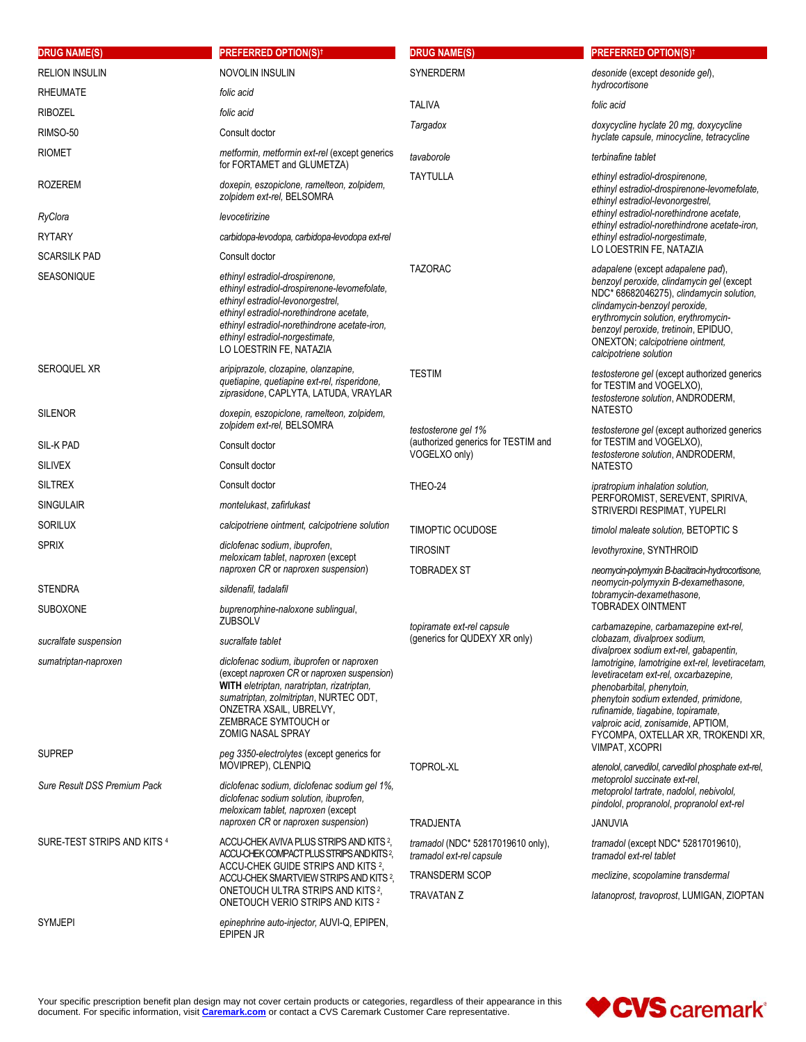| <b>DRUG NAME(S)</b>          | <b>PREFERRED OPTION(S)t</b>                                                                                                                                                                                                                                                     | <b>DRUG NAME(S)</b>                                                  | <b>PREFERRED OPTION(S)<sup>†</sup></b>                                                                                                                                                                                                                                                                                                                                                                                           |
|------------------------------|---------------------------------------------------------------------------------------------------------------------------------------------------------------------------------------------------------------------------------------------------------------------------------|----------------------------------------------------------------------|----------------------------------------------------------------------------------------------------------------------------------------------------------------------------------------------------------------------------------------------------------------------------------------------------------------------------------------------------------------------------------------------------------------------------------|
| <b>RELION INSULIN</b>        | NOVOLIN INSULIN                                                                                                                                                                                                                                                                 | SYNERDERM                                                            | desonide (except desonide gel),                                                                                                                                                                                                                                                                                                                                                                                                  |
| <b>RHEUMATE</b>              | folic acid                                                                                                                                                                                                                                                                      |                                                                      | hydrocortisone                                                                                                                                                                                                                                                                                                                                                                                                                   |
| <b>RIBOZEL</b>               | folic acid                                                                                                                                                                                                                                                                      | TALIVA                                                               | folic acid                                                                                                                                                                                                                                                                                                                                                                                                                       |
| RIMSO-50                     | Consult doctor                                                                                                                                                                                                                                                                  | Targadox                                                             | doxycycline hyclate 20 mg, doxycycline<br>hyclate capsule, minocycline, tetracycline                                                                                                                                                                                                                                                                                                                                             |
| RIOMET                       | metformin, metformin ext-rel (except generics<br>for FORTAMET and GLUMETZA)                                                                                                                                                                                                     | tavaborole                                                           | terbinafine tablet                                                                                                                                                                                                                                                                                                                                                                                                               |
| <b>ROZEREM</b>               | doxepin, eszopiclone, ramelteon, zolpidem,<br>zolpidem ext-rel, BELSOMRA                                                                                                                                                                                                        | <b>TAYTULLA</b>                                                      | ethinyl estradiol-drospirenone.<br>ethinyl estradiol-drospirenone-levomefolate,<br>ethinyl estradiol-levonorgestrel.                                                                                                                                                                                                                                                                                                             |
| RyClora                      | levocetirizine                                                                                                                                                                                                                                                                  |                                                                      | ethinyl estradiol-norethindrone acetate,<br>ethinyl estradiol-norethindrone acetate-iron,                                                                                                                                                                                                                                                                                                                                        |
| <b>RYTARY</b>                | carbidopa-levodopa, carbidopa-levodopa ext-rel                                                                                                                                                                                                                                  |                                                                      | ethinyl estradiol-norgestimate,                                                                                                                                                                                                                                                                                                                                                                                                  |
| <b>SCARSILK PAD</b>          | Consult doctor                                                                                                                                                                                                                                                                  |                                                                      | LO LOESTRIN FE, NATAZIA                                                                                                                                                                                                                                                                                                                                                                                                          |
| SEASONIQUE                   | ethinyl estradiol-drospirenone,<br>ethinyl estradiol-drospirenone-levomefolate,<br>ethinyl estradiol-levonorgestrel,<br>ethinyl estradiol-norethindrone acetate,<br>ethinyl estradiol-norethindrone acetate-iron,<br>ethinyl estradiol-norgestimate,<br>LO LOESTRIN FE, NATAZIA | <b>TAZORAC</b>                                                       | adapalene (except adapalene pad),<br>benzoyl peroxide, clindamycin gel (except<br>NDC* 68682046275), clindamycin solution,<br>clindamycin-benzoyl peroxide,<br>erythromycin solution, erythromycin-<br>benzoyl peroxide, tretinoin, EPIDUO,<br>ONEXTON; calcipotriene ointment,<br>calcipotriene solution                                                                                                                        |
| <b>SEROQUEL XR</b>           | aripiprazole, clozapine, olanzapine,<br>quetiapine, quetiapine ext-rel, risperidone,<br>ziprasidone, CAPLYTA, LATUDA, VRAYLAR                                                                                                                                                   | <b>TESTIM</b>                                                        | testosterone gel (except authorized generics<br>for TESTIM and VOGELXO).<br>testosterone solution, ANDRODERM,                                                                                                                                                                                                                                                                                                                    |
| <b>SILENOR</b>               | doxepin, eszopiclone, ramelteon, zolpidem,<br>zolpidem ext-rel, BELSOMRA                                                                                                                                                                                                        | testosterone gel 1%                                                  | <b>NATESTO</b><br>testosterone gel (except authorized generics                                                                                                                                                                                                                                                                                                                                                                   |
| SIL-K PAD                    | Consult doctor                                                                                                                                                                                                                                                                  | (authorized generics for TESTIM and                                  | for TESTIM and VOGELXO).                                                                                                                                                                                                                                                                                                                                                                                                         |
| <b>SILIVEX</b>               | Consult doctor                                                                                                                                                                                                                                                                  | VOGELXO only)                                                        | testosterone solution, ANDRODERM,<br><b>NATESTO</b>                                                                                                                                                                                                                                                                                                                                                                              |
| <b>SILTREX</b>               | Consult doctor                                                                                                                                                                                                                                                                  | THEO-24                                                              | ipratropium inhalation solution,                                                                                                                                                                                                                                                                                                                                                                                                 |
| <b>SINGULAIR</b>             | montelukast, zafirlukast                                                                                                                                                                                                                                                        |                                                                      | PERFOROMIST, SEREVENT, SPIRIVA,<br>STRIVERDI RESPIMAT, YUPELRI                                                                                                                                                                                                                                                                                                                                                                   |
| <b>SORILUX</b>               | calcipotriene ointment, calcipotriene solution                                                                                                                                                                                                                                  | TIMOPTIC OCUDOSE                                                     | timolol maleate solution, BETOPTIC S                                                                                                                                                                                                                                                                                                                                                                                             |
| <b>SPRIX</b>                 | diclofenac sodium, ibuprofen,                                                                                                                                                                                                                                                   | <b>TIROSINT</b>                                                      | levothyroxine, SYNTHROID                                                                                                                                                                                                                                                                                                                                                                                                         |
|                              | meloxicam tablet, naproxen (except<br>naproxen CR or naproxen suspension)                                                                                                                                                                                                       | <b>TOBRADEX ST</b>                                                   | neomycin-polymyxin B-bacitracin-hydrocortisone,<br>neomycin-polymyxin B-dexamethasone,<br>tobramycin-dexamethasone,                                                                                                                                                                                                                                                                                                              |
| <b>STENDRA</b>               | sildenafil, tadalafil                                                                                                                                                                                                                                                           |                                                                      |                                                                                                                                                                                                                                                                                                                                                                                                                                  |
| <b>SUBOXONE</b>              | buprenorphine-naloxone sublingual,<br><b>ZUBSOLV</b>                                                                                                                                                                                                                            | topiramate ext-rel capsule                                           | <b>TOBRADEX OINTMENT</b><br>carbamazepine, carbamazepine ext-rel,<br>clobazam, divalproex sodium,<br>divalproex sodium ext-rel, gabapentin,<br>lamotrigine, lamotrigine ext-rel, levetiracetam,<br>levetiracetam ext-rel, oxcarbazepine,<br>phenobarbital, phenytoin,<br>phenytoin sodium extended, primidone,<br>rufinamide, tiagabine, topiramate,<br>valproic acid, zonisamide, APTIOM,<br>FYCOMPA, OXTELLAR XR, TROKENDI XR, |
| sucralfate suspension        | sucralfate tablet                                                                                                                                                                                                                                                               | (generics for QUDEXY XR only)                                        |                                                                                                                                                                                                                                                                                                                                                                                                                                  |
| sumatriptan-naproxen         | diclofenac sodium, ibuprofen or naproxen<br>(except naproxen CR or naproxen suspension)<br>WITH eletriptan, naratriptan, rizatriptan,<br>sumatriptan, zolmitriptan, NURTEC ODT,<br>ONZETRA XSAIL, UBRELVY,<br>ZEMBRACE SYMTOUCH or<br><b>ZOMIG NASAL SPRAY</b>                  |                                                                      |                                                                                                                                                                                                                                                                                                                                                                                                                                  |
| <b>SUPREP</b>                | peg 3350-electrolytes (except generics for<br>MOVIPREP), CLENPIQ                                                                                                                                                                                                                | TOPROL-XL                                                            | VIMPAT, XCOPRI<br>atenolol, carvedilol, carvedilol phosphate ext-rel,                                                                                                                                                                                                                                                                                                                                                            |
| Sure Result DSS Premium Pack | diclofenac sodium, diclofenac sodium gel 1%,<br>diclofenac sodium solution, ibuprofen,<br>meloxicam tablet, naproxen (except<br>naproxen CR or naproxen suspension)                                                                                                             |                                                                      | metoprolol succinate ext-rel,<br>metoprolol tartrate, nadolol, nebivolol,<br>pindolol, propranolol, propranolol ext-rel                                                                                                                                                                                                                                                                                                          |
|                              |                                                                                                                                                                                                                                                                                 | <b>TRADJENTA</b>                                                     | <b>JANUVIA</b>                                                                                                                                                                                                                                                                                                                                                                                                                   |
| SURE-TEST STRIPS AND KITS 4  | ACCU-CHEK AVIVA PLUS STRIPS AND KITS 2,<br>ACCU-CHEK COMPACT PLUS STRIPS AND KITS <sup>2</sup> ,<br>ACCU-CHEK GUIDE STRIPS AND KITS 2,                                                                                                                                          | <i>tramadol</i> (NDC* 52817019610 only),<br>tramadol ext-rel capsule | <i>tramadol</i> (except NDC <sup>*</sup> 52817019610),<br>tramadol ext-rel tablet                                                                                                                                                                                                                                                                                                                                                |
|                              | ACCU-CHEK SMARTVIEW STRIPS AND KITS <sup>2</sup> ,<br>ONETOUCH ULTRA STRIPS AND KITS <sup>2</sup> ,<br>ONETOUCH VERIO STRIPS AND KITS 2                                                                                                                                         | <b>TRANSDERM SCOP</b>                                                | meclizine, scopolamine transdermal                                                                                                                                                                                                                                                                                                                                                                                               |
|                              |                                                                                                                                                                                                                                                                                 | <b>TRAVATAN Z</b>                                                    | latanoprost, travoprost, LUMIGAN, ZIOPTAN                                                                                                                                                                                                                                                                                                                                                                                        |
| SYMJEPI                      | epinephrine auto-injector, AUVI-Q, EPIPEN,<br>EPIPEN JR                                                                                                                                                                                                                         |                                                                      |                                                                                                                                                                                                                                                                                                                                                                                                                                  |

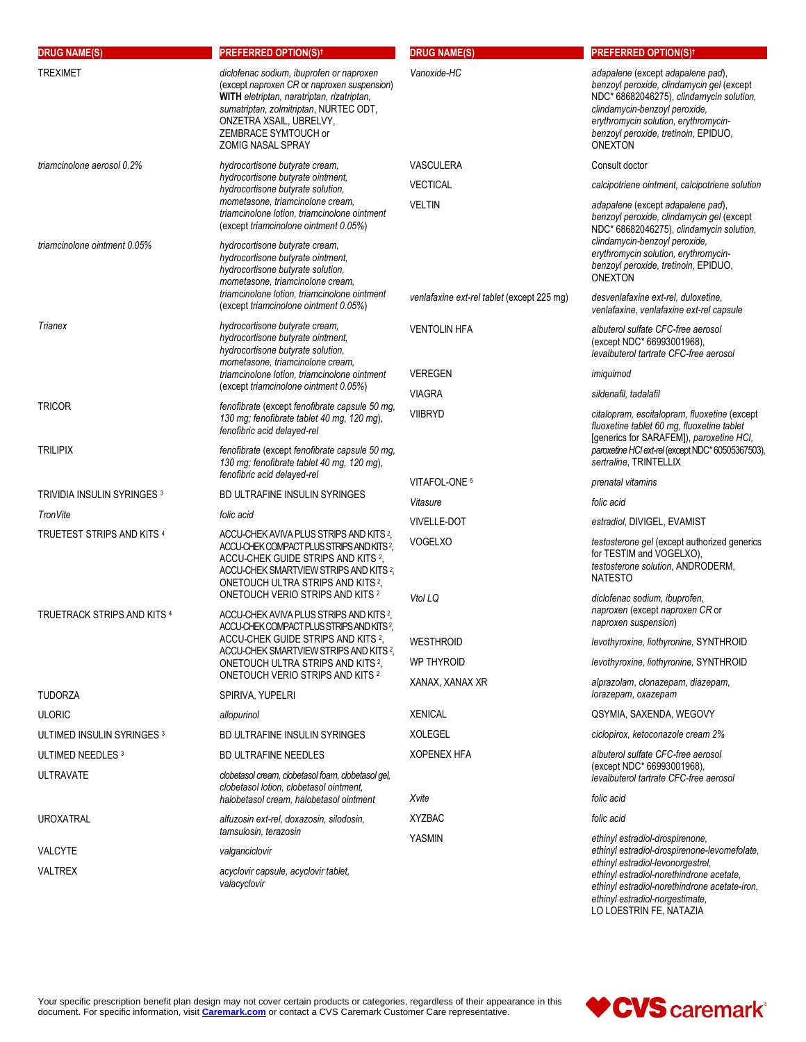| <b>DRUG NAME(S)</b>                | <b>PREFERRED OPTION(S)t</b>                                                                                                                                                                                                                                                              | <b>DRUG NAME(S)</b>                        | <b>PREFERRED OPTION(S)<sup>†</sup></b>                                                                                                                                                                                                                        |
|------------------------------------|------------------------------------------------------------------------------------------------------------------------------------------------------------------------------------------------------------------------------------------------------------------------------------------|--------------------------------------------|---------------------------------------------------------------------------------------------------------------------------------------------------------------------------------------------------------------------------------------------------------------|
| <b>TREXIMET</b>                    | diclofenac sodium, ibuprofen or naproxen<br>(except naproxen CR or naproxen suspension)<br>WITH eletriptan, naratriptan, rizatriptan,<br>sumatriptan, zolmitriptan, NURTEC ODT,<br>ONZETRA XSAIL, UBRELVY,<br>ZEMBRACE SYMTOUCH or<br><b>ZOMIG NASAL SPRAY</b>                           | Vanoxide-HC                                | adapalene (except adapalene pad),<br>benzoyl peroxide, clindamycin gel (except<br>NDC* 68682046275), clindamycin solution,<br>clindamycin-benzoyl peroxide,<br>erythromycin solution, erythromycin-<br>benzoyl peroxide, tretinoin, EPIDUO,<br><b>ONEXTON</b> |
| triamcinolone aerosol 0.2%         | hydrocortisone butyrate cream,                                                                                                                                                                                                                                                           | <b>VASCULERA</b>                           | Consult doctor                                                                                                                                                                                                                                                |
|                                    | hydrocortisone butyrate ointment,<br>hydrocortisone butyrate solution,                                                                                                                                                                                                                   | <b>VECTICAL</b>                            | calcipotriene ointment, calcipotriene solution                                                                                                                                                                                                                |
|                                    | mometasone, triamcinolone cream,<br>triamcinolone lotion, triamcinolone ointment<br>(except triamcinolone ointment 0.05%)                                                                                                                                                                | <b>VELTIN</b>                              | adapalene (except adapalene pad),<br>benzoyl peroxide, clindamycin gel (except<br>NDC* 68682046275), clindamycin solution,<br>clindamycin-benzoyl peroxide,                                                                                                   |
| triamcinolone ointment 0.05%       | hydrocortisone butyrate cream,<br>hydrocortisone butyrate ointment,<br>hydrocortisone butyrate solution,<br>mometasone, triamcinolone cream,                                                                                                                                             |                                            | erythromycin solution, erythromycin-<br>benzoyl peroxide, tretinoin, EPIDUO,<br><b>ONEXTON</b>                                                                                                                                                                |
|                                    | triamcinolone lotion, triamcinolone ointment<br>(except triamcinolone ointment 0.05%)                                                                                                                                                                                                    | venlafaxine ext-rel tablet (except 225 mg) | desvenlafaxine ext-rel, duloxetine.<br>venlafaxine, venlafaxine ext-rel capsule                                                                                                                                                                               |
| Trianex                            | hydrocortisone butyrate cream,<br>hydrocortisone butyrate ointment,<br>hydrocortisone butyrate solution,<br>mometasone, triamcinolone cream,                                                                                                                                             | <b>VENTOLIN HFA</b>                        | albuterol sulfate CFC-free aerosol<br>(except NDC* 66993001968),<br>levalbuterol tartrate CFC-free aerosol                                                                                                                                                    |
|                                    | triamcinolone lotion, triamcinolone ointment                                                                                                                                                                                                                                             | <b>VEREGEN</b>                             | imiguimod                                                                                                                                                                                                                                                     |
|                                    | (except triamcinolone ointment 0.05%)                                                                                                                                                                                                                                                    | <b>VIAGRA</b>                              | sildenafil, tadalafil                                                                                                                                                                                                                                         |
| <b>TRICOR</b>                      | fenofibrate (except fenofibrate capsule 50 mg,<br>130 mg; fenofibrate tablet 40 mg, 120 mg),<br>fenofibric acid delayed-rel                                                                                                                                                              | <b>VIIBRYD</b>                             | citalopram, escitalopram, fluoxetine (except<br>fluoxetine tablet 60 mg, fluoxetine tablet<br>[generics for SARAFEM]), paroxetine HCI,                                                                                                                        |
| <b>TRILIPIX</b>                    | fenofibrate (except fenofibrate capsule 50 mg,<br>130 mg; fenofibrate tablet 40 mg, 120 mg),<br>fenofibric acid delayed-rel                                                                                                                                                              |                                            | paroxetine HCl ext-rel (except NDC* 60505367503),<br>sertraline, TRINTELLIX                                                                                                                                                                                   |
| <b>TRIVIDIA INSULIN SYRINGES 3</b> | <b>BD ULTRAFINE INSULIN SYRINGES</b>                                                                                                                                                                                                                                                     | VITAFOL-ONE 5                              | prenatal vitamins                                                                                                                                                                                                                                             |
| TronVite                           | folic acid                                                                                                                                                                                                                                                                               | Vitasure                                   | folic acid                                                                                                                                                                                                                                                    |
| TRUETEST STRIPS AND KITS 4         | ACCU-CHEK AVIVA PLUS STRIPS AND KITS 2,                                                                                                                                                                                                                                                  | <b>VIVELLE-DOT</b>                         | estradiol, DIVIGEL, EVAMIST                                                                                                                                                                                                                                   |
|                                    | ACCU-CHEK COMPACT PLUS STRIPS AND KITS <sup>2</sup> ,<br>ACCU-CHEK GUIDE STRIPS AND KITS 2,<br>ACCU-CHEK SMARTVIEW STRIPS AND KITS 2,<br>ONETOUCH ULTRA STRIPS AND KITS <sup>2</sup> .                                                                                                   | <b>VOGELXO</b>                             | testosterone gel (except authorized generics<br>for TESTIM and VOGELXO),<br>testosterone solution, ANDRODERM,<br><b>NATESTO</b>                                                                                                                               |
| TRUETRACK STRIPS AND KITS 4        | <b>ONETOUCH VERIO STRIPS AND KITS 2</b><br>ACCU-CHEK AVIVA PLUS STRIPS AND KITS 2.<br>ACCU-CHEK COMPACT PLUS STRIPS AND KITS <sup>2</sup> ,<br>ACCU-CHEK GUIDE STRIPS AND KITS <sup>2</sup> ,<br>ACCU-CHEK SMARTVIEW STRIPS AND KITS 2.<br>ONETOUCH ULTRA STRIPS AND KITS <sup>2</sup> . | Vtol LQ                                    | diclofenac sodium, ibuprofen,<br>naproxen (except naproxen CR or<br>naproxen suspension)                                                                                                                                                                      |
|                                    |                                                                                                                                                                                                                                                                                          | <b>WESTHROID</b>                           | levothyroxine, liothyronine, SYNTHROID                                                                                                                                                                                                                        |
|                                    |                                                                                                                                                                                                                                                                                          | <b>WP THYROID</b>                          | levothyroxine, liothyronine, SYNTHROID                                                                                                                                                                                                                        |
| <b>TUDORZA</b>                     | ONETOUCH VERIO STRIPS AND KITS 2<br>SPIRIVA, YUPELRI                                                                                                                                                                                                                                     | XANAX, XANAX XR                            | alprazolam, clonazepam, diazepam,<br>lorazepam, oxazepam                                                                                                                                                                                                      |
| <b>ULORIC</b>                      | allopurinol                                                                                                                                                                                                                                                                              | <b>XENICAL</b>                             | QSYMIA, SAXENDA, WEGOVY                                                                                                                                                                                                                                       |
| ULTIMED INSULIN SYRINGES 3         | BD ULTRAFINE INSULIN SYRINGES                                                                                                                                                                                                                                                            | <b>XOLEGEL</b>                             | ciclopirox, ketoconazole cream 2%                                                                                                                                                                                                                             |
| ULTIMED NEEDLES 3                  | <b>BD ULTRAFINE NEEDLES</b>                                                                                                                                                                                                                                                              | <b>XOPENEX HFA</b>                         | albuterol sulfate CFC-free aerosol                                                                                                                                                                                                                            |
| <b>ULTRAVATE</b>                   | clobetasol cream, clobetasol foam, clobetasol gel,<br>clobetasol lotion, clobetasol ointment,                                                                                                                                                                                            |                                            | (except NDC* 66993001968),<br>levalbuterol tartrate CFC-free aerosol                                                                                                                                                                                          |
|                                    | halobetasol cream, halobetasol ointment                                                                                                                                                                                                                                                  | Xvite                                      | folic acid                                                                                                                                                                                                                                                    |
| <b>UROXATRAL</b>                   | alfuzosin ext-rel, doxazosin, silodosin,                                                                                                                                                                                                                                                 | <b>XYZBAC</b>                              | folic acid                                                                                                                                                                                                                                                    |
| <b>VALCYTE</b>                     | tamsulosin, terazosin<br>valganciclovir                                                                                                                                                                                                                                                  | YASMIN                                     | ethinyl estradiol-drospirenone,<br>ethinyl estradiol-drospirenone-levomefolate,                                                                                                                                                                               |
| <b>VALTREX</b>                     | acyclovir capsule, acyclovir tablet,<br>valacyclovir                                                                                                                                                                                                                                     |                                            | ethinyl estradiol-levonorgestrel,<br>ethinyl estradiol-norethindrone acetate,<br>ethinyl estradiol-norethindrone acetate-iron,<br>ethinyl estradiol-norgestimate,<br>LO LOESTRIN FE, NATAZIA                                                                  |

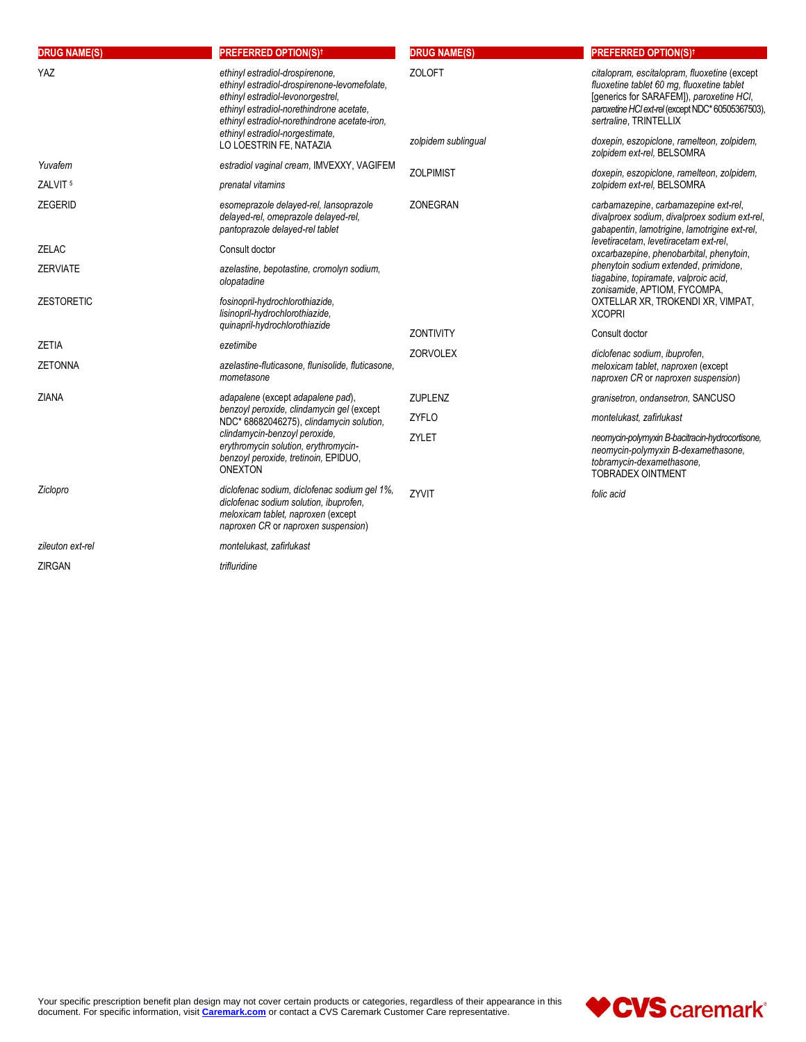| <b>DRUG NAME(S)</b> | <b>PREFERRED OPTION(S)t</b>                                                                                                                                                                                       | <b>DRUG NAME(S)</b> | <b>PREFERRED OPTION(S)<sup>†</sup></b>                                                                                                                                                                                |
|---------------------|-------------------------------------------------------------------------------------------------------------------------------------------------------------------------------------------------------------------|---------------------|-----------------------------------------------------------------------------------------------------------------------------------------------------------------------------------------------------------------------|
| YAZ                 | ethinyl estradiol-drospirenone.<br>ethinyl estradiol-drospirenone-levomefolate.<br>ethinyl estradiol-levonorgestrel,<br>ethinyl estradiol-norethindrone acetate.<br>ethinyl estradiol-norethindrone acetate-iron. | <b>ZOLOFT</b>       | citalopram, escitalopram, fluoxetine (except<br>fluoxetine tablet 60 mg, fluoxetine tablet<br>[generics for SARAFEM]), paroxetine HCI,<br>paroxetine HCl ext-rel (except NDC* 60505367503),<br>sertraline, TRINTELLIX |
|                     | ethinyl estradiol-norgestimate,<br>LO LOESTRIN FE, NATAZIA                                                                                                                                                        | zolpidem sublingual | doxepin, eszopiclone, ramelteon, zolpidem,<br>zolpidem ext-rel, BELSOMRA                                                                                                                                              |
| Yuvafem             | estradiol vaginal cream, IMVEXXY, VAGIFEM                                                                                                                                                                         | <b>ZOLPIMIST</b>    | doxepin, eszopiclone, ramelteon, zolpidem,                                                                                                                                                                            |
| ZALVIT <sup>5</sup> | prenatal vitamins                                                                                                                                                                                                 |                     | zolpidem ext-rel, BELSOMRA                                                                                                                                                                                            |
| <b>ZEGERID</b>      | esomeprazole delayed-rel, lansoprazole<br>delayed-rel, omeprazole delayed-rel,<br>pantoprazole delayed-rel tablet                                                                                                 | <b>ZONEGRAN</b>     | carbamazepine, carbamazepine ext-rel,<br>divalproex sodium, divalproex sodium ext-rel,<br>gabapentin, lamotrigine, lamotrigine ext-rel,                                                                               |
| <b>ZELAC</b>        | Consult doctor                                                                                                                                                                                                    |                     | levetiracetam, levetiracetam ext-rel,<br>oxcarbazepine, phenobarbital, phenytoin,                                                                                                                                     |
| <b>ZERVIATE</b>     | azelastine, bepotastine, cromolyn sodium,<br>olopatadine                                                                                                                                                          |                     | phenytoin sodium extended, primidone,<br>tiagabine, topiramate, valproic acid,<br>zonisamide, APTIOM, FYCOMPA,                                                                                                        |
| <b>ZESTORETIC</b>   | fosinopril-hydrochlorothiazide,<br>lisinopril-hydrochlorothiazide,                                                                                                                                                |                     | OXTELLAR XR, TROKENDI XR, VIMPAT,<br><b>XCOPRI</b>                                                                                                                                                                    |
|                     | quinapril-hydrochlorothiazide                                                                                                                                                                                     | <b>ZONTIVITY</b>    | Consult doctor                                                                                                                                                                                                        |
| <b>ZETIA</b>        | ezetimibe                                                                                                                                                                                                         | <b>ZORVOLEX</b>     | diclofenac sodium, ibuprofen,                                                                                                                                                                                         |
| <b>ZETONNA</b>      | azelastine-fluticasone, flunisolide, fluticasone,<br>mometasone                                                                                                                                                   |                     | meloxicam tablet, naproxen (except<br>naproxen CR or naproxen suspension)                                                                                                                                             |
| <b>ZIANA</b>        | adapalene (except adapalene pad),                                                                                                                                                                                 | ZUPLENZ             | granisetron, ondansetron, SANCUSO                                                                                                                                                                                     |
|                     | benzoyl peroxide, clindamycin gel (except<br>NDC* 68682046275), clindamycin solution,                                                                                                                             | <b>ZYFLO</b>        | montelukast, zafirlukast                                                                                                                                                                                              |
| <b>ONEXTON</b>      | clindamycin-benzoyl peroxide,<br>erythromycin solution, erythromycin-<br>benzoyl peroxide, tretinoin, EPIDUO,                                                                                                     | ZYLET               | neomycin-polymyxin B-bacitracin-hydrocortisone,<br>neomycin-polymyxin B-dexamethasone,<br>tobramycin-dexamethasone,<br><b>TOBRADEX OINTMENT</b>                                                                       |
| Ziclopro            | diclofenac sodium, diclofenac sodium gel 1%,<br>diclofenac sodium solution, ibuprofen,<br>meloxicam tablet, naproxen (except<br>naproxen CR or naproxen suspension)                                               | ZYVIT               | folic acid                                                                                                                                                                                                            |
| zileuton ext-rel    | montelukast, zafirlukast                                                                                                                                                                                          |                     |                                                                                                                                                                                                                       |
| <b>ZIRGAN</b>       | trifluridine                                                                                                                                                                                                      |                     |                                                                                                                                                                                                                       |